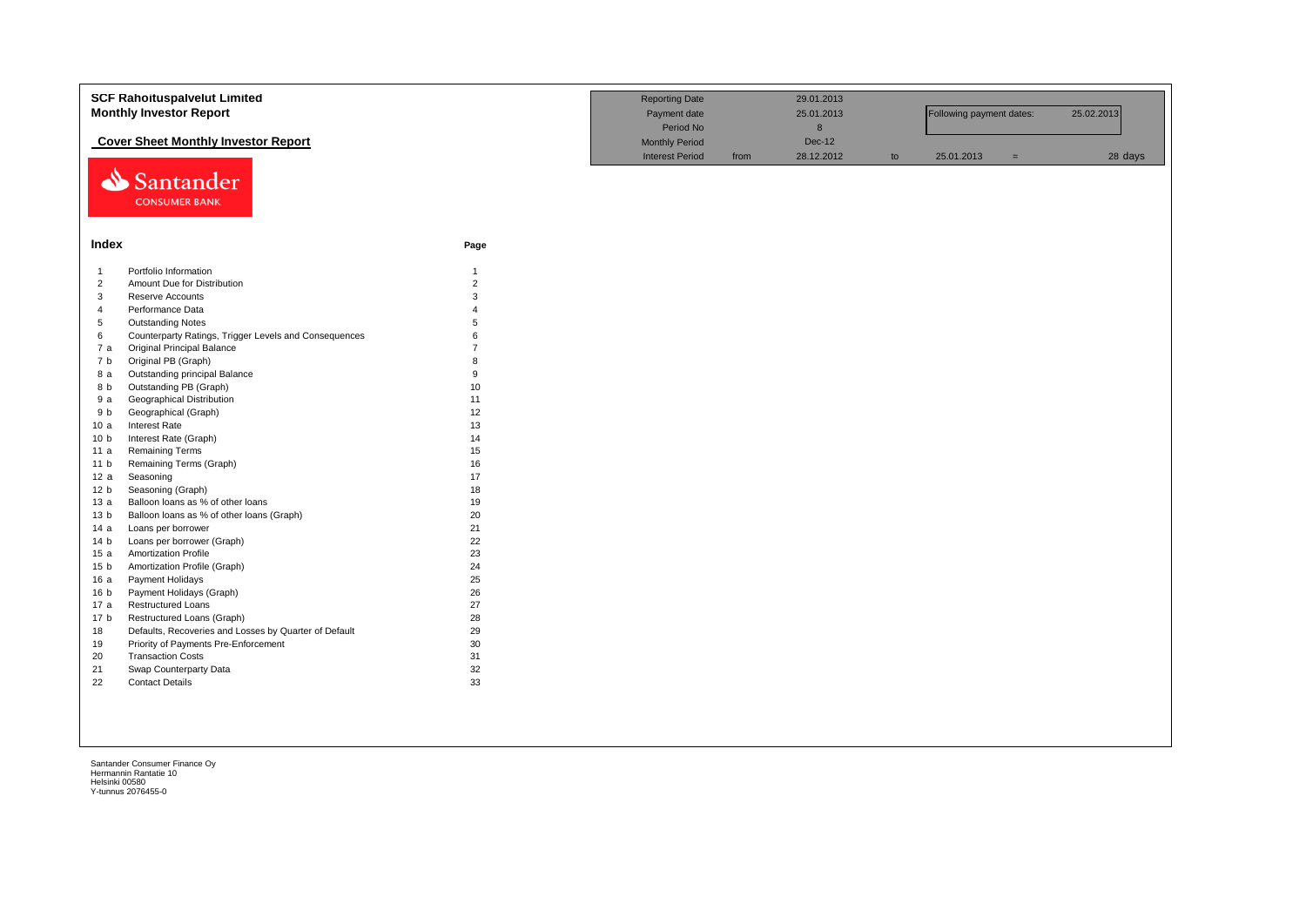|                 | <b>SCF Rahoituspalvelut Limited</b><br><b>Monthly Investor Report</b> | <b>Reporting Date</b><br>Payment date<br>Period No |                        | 29.01.2013<br>25.01.2013<br>$\bf8$ |               | Following payment dates: |            | 25.02.2013 |         |
|-----------------|-----------------------------------------------------------------------|----------------------------------------------------|------------------------|------------------------------------|---------------|--------------------------|------------|------------|---------|
|                 | <b>Cover Sheet Monthly Investor Report</b>                            |                                                    | <b>Monthly Period</b>  |                                    | <b>Dec-12</b> |                          |            |            |         |
| ⇘               | Santander<br><b>CONSUMER BANK</b>                                     |                                                    | <b>Interest Period</b> | from                               | 28.12.2012    | to                       | 25.01.2013 | $=$        | 28 days |
| Index           |                                                                       | Page                                               |                        |                                    |               |                          |            |            |         |
| $\mathbf{1}$    | Portfolio Information                                                 | $\mathbf{1}$                                       |                        |                                    |               |                          |            |            |         |
| $\overline{2}$  | Amount Due for Distribution                                           | $\overline{2}$                                     |                        |                                    |               |                          |            |            |         |
| 3               | Reserve Accounts                                                      | $\mathbf{3}$                                       |                        |                                    |               |                          |            |            |         |
| $\overline{4}$  | Performance Data                                                      | $\Delta$                                           |                        |                                    |               |                          |            |            |         |
| $\sqrt{5}$      | <b>Outstanding Notes</b>                                              | 5                                                  |                        |                                    |               |                          |            |            |         |
| 6               | Counterparty Ratings, Trigger Levels and Consequences                 | 6                                                  |                        |                                    |               |                          |            |            |         |
| 7 a             | <b>Original Principal Balance</b>                                     | $\overline{7}$                                     |                        |                                    |               |                          |            |            |         |
| 7 b             | Original PB (Graph)                                                   | $\mathsf{R}$                                       |                        |                                    |               |                          |            |            |         |
| 8 a             | Outstanding principal Balance                                         | 9                                                  |                        |                                    |               |                          |            |            |         |
| 8 b             | Outstanding PB (Graph)                                                | 10                                                 |                        |                                    |               |                          |            |            |         |
| 9 a             | Geographical Distribution                                             | 11                                                 |                        |                                    |               |                          |            |            |         |
| 9 b             | Geographical (Graph)                                                  | 12                                                 |                        |                                    |               |                          |            |            |         |
| 10a             | Interest Rate                                                         | 13                                                 |                        |                                    |               |                          |            |            |         |
| 10 <sub>b</sub> | Interest Rate (Graph)                                                 | 14                                                 |                        |                                    |               |                          |            |            |         |
| 11 a            | <b>Remaining Terms</b>                                                | 15                                                 |                        |                                    |               |                          |            |            |         |
| 11 <sub>b</sub> | Remaining Terms (Graph)                                               | 16                                                 |                        |                                    |               |                          |            |            |         |
| 12a             | Seasoning                                                             | 17                                                 |                        |                                    |               |                          |            |            |         |
| 12 <sub>b</sub> | Seasoning (Graph)                                                     | 18                                                 |                        |                                    |               |                          |            |            |         |
| 13a             | Balloon loans as % of other loans                                     | 19                                                 |                        |                                    |               |                          |            |            |         |
| 13 <sub>b</sub> | Balloon loans as % of other loans (Graph)                             | 20                                                 |                        |                                    |               |                          |            |            |         |
| 14a             | Loans per borrower                                                    | 21                                                 |                        |                                    |               |                          |            |            |         |
| 14 <sub>b</sub> | Loans per borrower (Graph)                                            | 22                                                 |                        |                                    |               |                          |            |            |         |
| 15a             | <b>Amortization Profile</b>                                           | 23                                                 |                        |                                    |               |                          |            |            |         |
| 15 <sub>b</sub> | Amortization Profile (Graph)                                          | 24                                                 |                        |                                    |               |                          |            |            |         |
| 16a             | Payment Holidays                                                      | 25                                                 |                        |                                    |               |                          |            |            |         |
| 16 <sub>b</sub> | Payment Holidays (Graph)                                              | 26                                                 |                        |                                    |               |                          |            |            |         |
| 17 a            | <b>Restructured Loans</b>                                             | 27                                                 |                        |                                    |               |                          |            |            |         |
| 17 <sub>b</sub> | Restructured Loans (Graph)                                            | 28                                                 |                        |                                    |               |                          |            |            |         |
| 18              | Defaults, Recoveries and Losses by Quarter of Default                 | 29                                                 |                        |                                    |               |                          |            |            |         |
| 19              | Priority of Payments Pre-Enforcement                                  | 30                                                 |                        |                                    |               |                          |            |            |         |
| 20              | <b>Transaction Costs</b>                                              | 31                                                 |                        |                                    |               |                          |            |            |         |
| 21              | Swap Counterparty Data                                                | 32                                                 |                        |                                    |               |                          |            |            |         |
| 22              | <b>Contact Details</b>                                                | 33                                                 |                        |                                    |               |                          |            |            |         |
|                 |                                                                       |                                                    |                        |                                    |               |                          |            |            |         |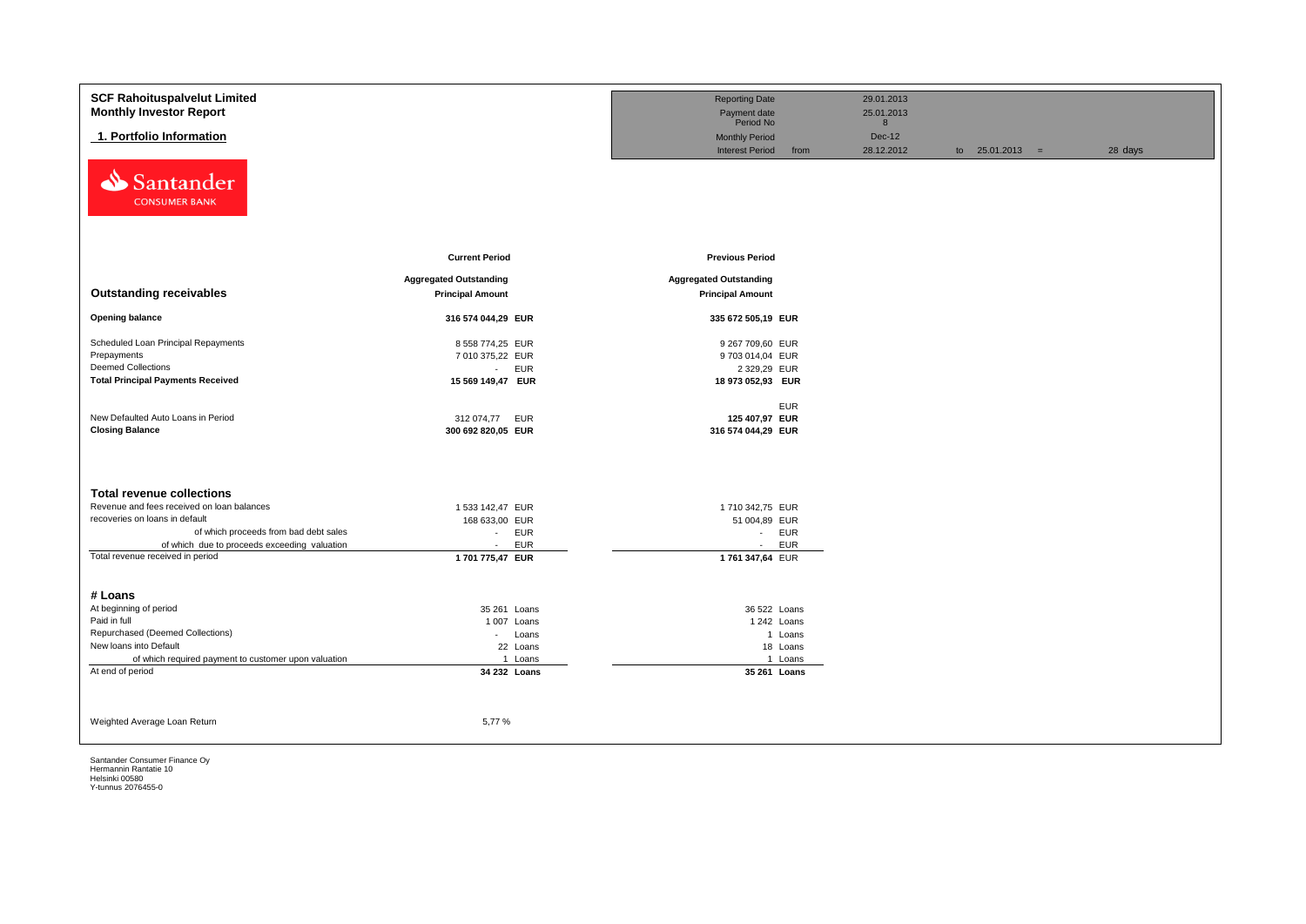| <b>SCF Rahoituspalvelut Limited</b><br><b>Monthly Investor Report</b> |                                                          | <b>Reporting Date</b><br>Payment date                    | 29.01.2013<br>25.01.2013 |                   |         |
|-----------------------------------------------------------------------|----------------------------------------------------------|----------------------------------------------------------|--------------------------|-------------------|---------|
|                                                                       |                                                          | Period No                                                | 8                        |                   |         |
| 1. Portfolio Information                                              |                                                          | <b>Monthly Period</b>                                    | <b>Dec-12</b>            |                   |         |
|                                                                       |                                                          | <b>Interest Period</b><br>from                           | 28.12.2012               | to $25.01.2013 =$ | 28 days |
| ⇘<br>Santander<br><b>CONSUMER BANK</b>                                |                                                          |                                                          |                          |                   |         |
|                                                                       | <b>Current Period</b>                                    | <b>Previous Period</b>                                   |                          |                   |         |
|                                                                       |                                                          |                                                          |                          |                   |         |
| <b>Outstanding receivables</b>                                        | <b>Aggregated Outstanding</b><br><b>Principal Amount</b> | <b>Aggregated Outstanding</b><br><b>Principal Amount</b> |                          |                   |         |
|                                                                       |                                                          |                                                          |                          |                   |         |
| <b>Opening balance</b>                                                | 316 574 044,29 EUR                                       | 335 672 505,19 EUR                                       |                          |                   |         |
| Scheduled Loan Principal Repayments                                   | 8 558 774,25 EUR                                         | 9 267 709,60 EUR                                         |                          |                   |         |
| Prepayments                                                           | 7 010 375,22 EUR                                         | 9703014,04 EUR                                           |                          |                   |         |
| <b>Deemed Collections</b>                                             | <b>EUR</b><br>$\omega$                                   | 2 329,29 EUR                                             |                          |                   |         |
| <b>Total Principal Payments Received</b>                              | 15 569 149,47 EUR                                        | 18 973 052,93 EUR                                        |                          |                   |         |
|                                                                       |                                                          | <b>EUR</b>                                               |                          |                   |         |
| New Defaulted Auto Loans in Period                                    | 312 074,77<br>EUR                                        | 125 407,97 EUR                                           |                          |                   |         |
| <b>Closing Balance</b>                                                | 300 692 820,05 EUR                                       | 316 574 044,29 EUR                                       |                          |                   |         |
|                                                                       |                                                          |                                                          |                          |                   |         |
|                                                                       |                                                          |                                                          |                          |                   |         |
| <b>Total revenue collections</b>                                      |                                                          |                                                          |                          |                   |         |
| Revenue and fees received on loan balances                            | 1 533 142,47 EUR                                         | 1710 342,75 EUR                                          |                          |                   |         |
| recoveries on loans in default                                        | 168 633,00 EUR                                           | 51 004,89 EUR                                            |                          |                   |         |
| of which proceeds from bad debt sales                                 | <b>EUR</b><br>$\sim$                                     | - EUR                                                    |                          |                   |         |
| of which due to proceeds exceeding valuation                          | <b>EUR</b><br>$\sim$                                     | <b>EUR</b><br>$\sim$                                     |                          |                   |         |
| Total revenue received in period                                      | 1 701 775,47 EUR                                         | 1761 347,64 EUR                                          |                          |                   |         |
|                                                                       |                                                          |                                                          |                          |                   |         |
|                                                                       |                                                          |                                                          |                          |                   |         |
| # Loans<br>At beginning of period                                     | 35 261 Loans                                             | 36 522 Loans                                             |                          |                   |         |
| Paid in full                                                          | 1007 Loans                                               | 1 242 Loans                                              |                          |                   |         |
| Repurchased (Deemed Collections)                                      | Loans<br>$\sim$                                          | 1 Loans                                                  |                          |                   |         |
| New loans into Default                                                | 22 Loans                                                 | 18 Loans                                                 |                          |                   |         |
| of which required payment to customer upon valuation                  | 1 Loans                                                  | 1 Loans                                                  |                          |                   |         |
| At end of period                                                      | 34 232 Loans                                             | 35 261 Loans                                             |                          |                   |         |
|                                                                       |                                                          |                                                          |                          |                   |         |
|                                                                       |                                                          |                                                          |                          |                   |         |
|                                                                       |                                                          |                                                          |                          |                   |         |
| Weighted Average Loan Return                                          | 5,77%                                                    |                                                          |                          |                   |         |
|                                                                       |                                                          |                                                          |                          |                   |         |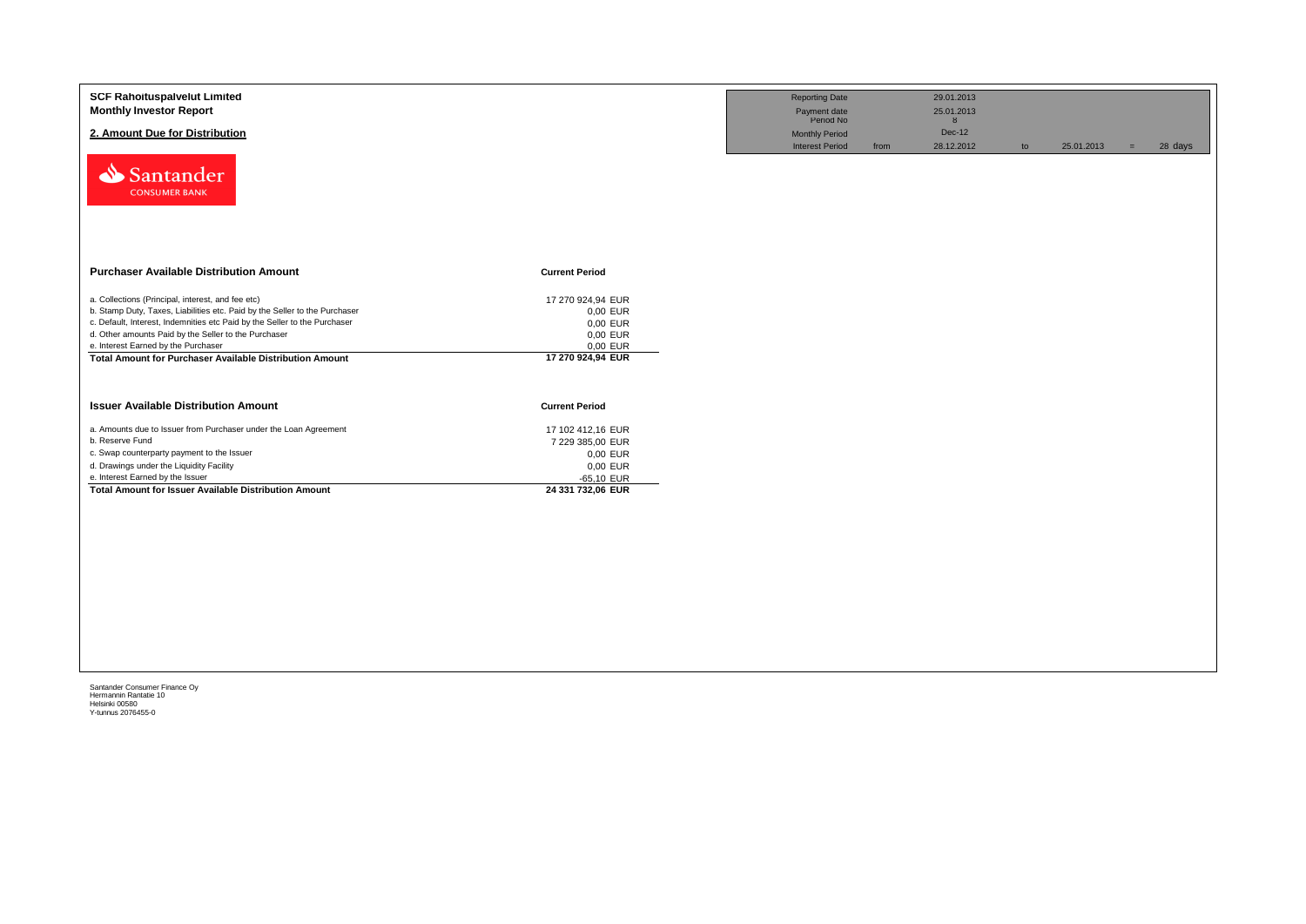| <b>SCF Rahoituspalvelut Limited</b><br><b>Monthly Investor Report</b><br>2. Amount Due for Distribution<br>Santander<br><b>CONSUMER BANK</b>                                                                                                                                                                                                                                   |                                                                                                    | <b>Reporting Date</b><br>Payment date<br>Period No<br><b>Monthly Period</b><br><b>Interest Period</b> | from | 29.01.2013<br>25.01.2013<br>8<br>Dec-12<br>28.12.2012 | to | 25.01.2013 | $=$ | 28 days |
|--------------------------------------------------------------------------------------------------------------------------------------------------------------------------------------------------------------------------------------------------------------------------------------------------------------------------------------------------------------------------------|----------------------------------------------------------------------------------------------------|-------------------------------------------------------------------------------------------------------|------|-------------------------------------------------------|----|------------|-----|---------|
| <b>Purchaser Available Distribution Amount</b>                                                                                                                                                                                                                                                                                                                                 | <b>Current Period</b>                                                                              |                                                                                                       |      |                                                       |    |            |     |         |
| a. Collections (Principal, interest, and fee etc)<br>b. Stamp Duty, Taxes, Liabilities etc. Paid by the Seller to the Purchaser<br>c. Default, Interest, Indemnities etc Paid by the Seller to the Purchaser<br>d. Other amounts Paid by the Seller to the Purchaser<br>e. Interest Earned by the Purchaser<br><b>Total Amount for Purchaser Available Distribution Amount</b> | 17 270 924,94 EUR<br>0,00 EUR<br>0,00 EUR<br>0,00 EUR<br>0,00 EUR<br>17 270 924,94 EUR             |                                                                                                       |      |                                                       |    |            |     |         |
| <b>Issuer Available Distribution Amount</b>                                                                                                                                                                                                                                                                                                                                    | <b>Current Period</b>                                                                              |                                                                                                       |      |                                                       |    |            |     |         |
| a. Amounts due to Issuer from Purchaser under the Loan Agreement<br>b. Reserve Fund<br>c. Swap counterparty payment to the Issuer<br>d. Drawings under the Liquidity Facility<br>e. Interest Earned by the Issuer<br><b>Total Amount for Issuer Available Distribution Amount</b>                                                                                              | 17 102 412,16 EUR<br>7 229 385,00 EUR<br>0,00 EUR<br>0,00 EUR<br>$-65,10$ EUR<br>24 331 732,06 EUR |                                                                                                       |      |                                                       |    |            |     |         |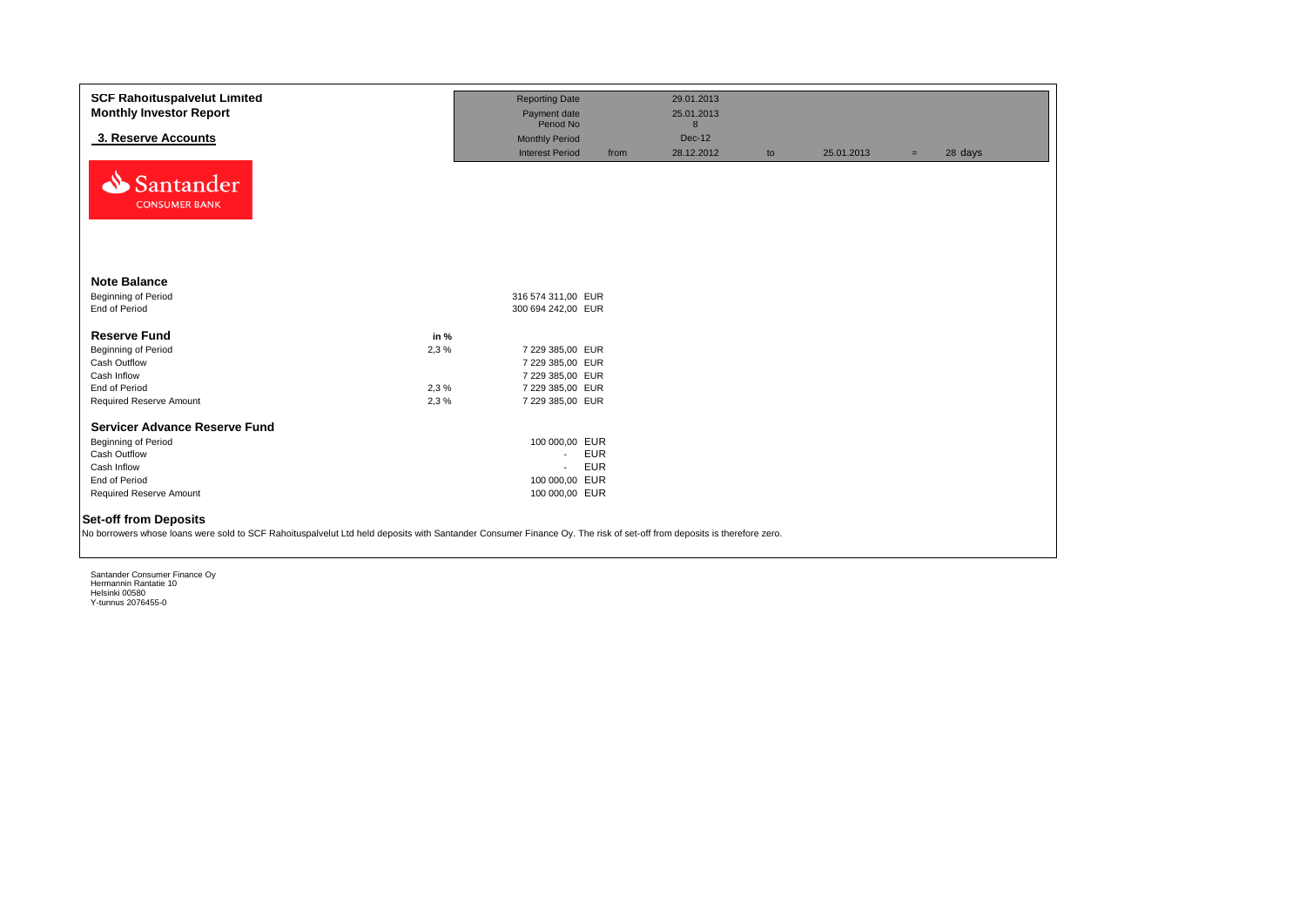| <b>SCF Rahoituspalvelut Limited</b><br><b>Monthly Investor Report</b>                                                                                                                                 |      | <b>Reporting Date</b><br>Payment date |            | 29.01.2013<br>25.01.2013 |    |            |     |         |
|-------------------------------------------------------------------------------------------------------------------------------------------------------------------------------------------------------|------|---------------------------------------|------------|--------------------------|----|------------|-----|---------|
|                                                                                                                                                                                                       |      | Period No                             |            | 8                        |    |            |     |         |
| 3. Reserve Accounts                                                                                                                                                                                   |      | <b>Monthly Period</b>                 |            | Dec-12                   |    |            |     |         |
|                                                                                                                                                                                                       |      | <b>Interest Period</b>                | from       | 28.12.2012               | to | 25.01.2013 | $=$ | 28 days |
| Santander<br><b>CONSUMER BANK</b>                                                                                                                                                                     |      |                                       |            |                          |    |            |     |         |
| <b>Note Balance</b>                                                                                                                                                                                   |      |                                       |            |                          |    |            |     |         |
| Beginning of Period                                                                                                                                                                                   |      | 316 574 311.00 EUR                    |            |                          |    |            |     |         |
| End of Period                                                                                                                                                                                         |      | 300 694 242,00 EUR                    |            |                          |    |            |     |         |
| <b>Reserve Fund</b>                                                                                                                                                                                   | in % |                                       |            |                          |    |            |     |         |
| Beginning of Period                                                                                                                                                                                   | 2,3% | 7 229 385,00 EUR                      |            |                          |    |            |     |         |
| Cash Outflow                                                                                                                                                                                          |      | 7 229 385,00 EUR                      |            |                          |    |            |     |         |
| Cash Inflow                                                                                                                                                                                           |      | 7 229 385,00 EUR                      |            |                          |    |            |     |         |
| End of Period                                                                                                                                                                                         | 2,3% | 7 229 385,00 EUR                      |            |                          |    |            |     |         |
| Required Reserve Amount                                                                                                                                                                               | 2,3% | 7 229 385,00 EUR                      |            |                          |    |            |     |         |
| <b>Servicer Advance Reserve Fund</b>                                                                                                                                                                  |      |                                       |            |                          |    |            |     |         |
| Beginning of Period                                                                                                                                                                                   |      | 100 000,00 EUR                        |            |                          |    |            |     |         |
| Cash Outflow                                                                                                                                                                                          |      | $\sim$                                | <b>EUR</b> |                          |    |            |     |         |
| Cash Inflow                                                                                                                                                                                           |      | $\sim$                                | <b>EUR</b> |                          |    |            |     |         |
| End of Period                                                                                                                                                                                         |      | 100 000,00 EUR                        |            |                          |    |            |     |         |
| Required Reserve Amount                                                                                                                                                                               |      | 100 000,00 EUR                        |            |                          |    |            |     |         |
| <b>Set-off from Deposits</b><br>No borrowers whose loans were sold to SCF Rahoituspalvelut Ltd held deposits with Santander Consumer Finance Oy. The risk of set-off from deposits is therefore zero. |      |                                       |            |                          |    |            |     |         |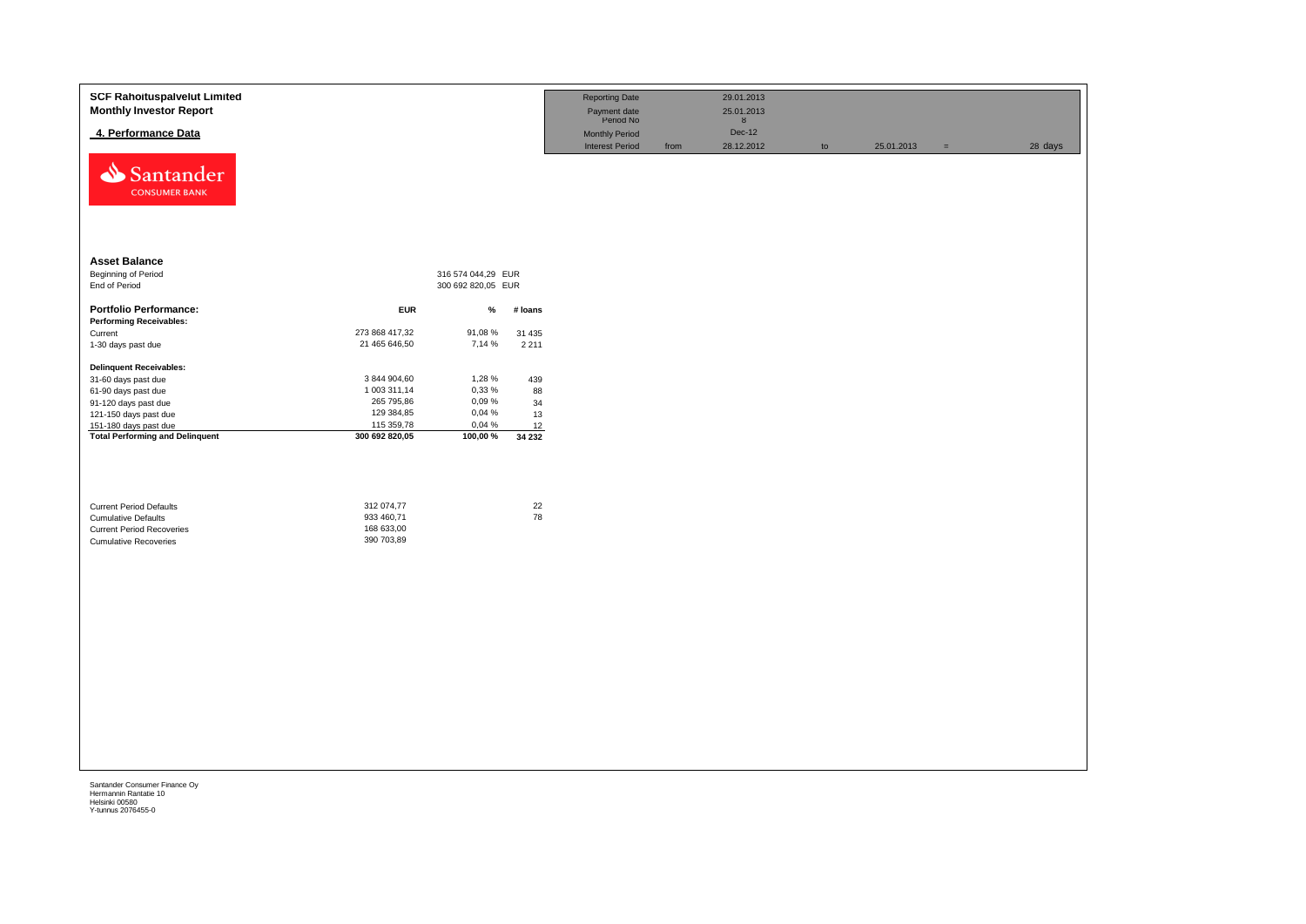| <b>SCF Rahoituspalvelut Limited</b><br><b>Monthly Investor Report</b><br>4. Performance Data                                     |                                                      |                    |              | <b>Reporting Date</b><br>Payment date<br>Period No<br>Monthly Period<br><b>Interest Period</b> | from | 29.01.2013<br>25.01.2013<br>8<br>Dec-12<br>28.12.2012 | to | 25.01.2013 | $\qquad \qquad =$ | 28 days |
|----------------------------------------------------------------------------------------------------------------------------------|------------------------------------------------------|--------------------|--------------|------------------------------------------------------------------------------------------------|------|-------------------------------------------------------|----|------------|-------------------|---------|
| Santander<br><b>CONSUMER BANK</b>                                                                                                |                                                      |                    |              |                                                                                                |      |                                                       |    |            |                   |         |
| <b>Asset Balance</b>                                                                                                             |                                                      |                    |              |                                                                                                |      |                                                       |    |            |                   |         |
| <b>Beginning of Period</b>                                                                                                       |                                                      | 316 574 044,29 EUR |              |                                                                                                |      |                                                       |    |            |                   |         |
| End of Period                                                                                                                    |                                                      | 300 692 820,05 EUR |              |                                                                                                |      |                                                       |    |            |                   |         |
| <b>Portfolio Performance:</b>                                                                                                    | <b>EUR</b>                                           | %                  | # loans      |                                                                                                |      |                                                       |    |            |                   |         |
| <b>Performing Receivables:</b>                                                                                                   |                                                      |                    |              |                                                                                                |      |                                                       |    |            |                   |         |
| Current                                                                                                                          | 273 868 417,32                                       | 91,08%             | 31 4 35      |                                                                                                |      |                                                       |    |            |                   |         |
| 1-30 days past due                                                                                                               | 21 465 646,50                                        | 7,14 %             | 2 2 1 1      |                                                                                                |      |                                                       |    |            |                   |         |
| <b>Delinquent Receivables:</b>                                                                                                   |                                                      |                    |              |                                                                                                |      |                                                       |    |            |                   |         |
| 31-60 days past due                                                                                                              | 3 844 904,60                                         | 1,28 %             | 439          |                                                                                                |      |                                                       |    |            |                   |         |
| 61-90 days past due                                                                                                              | 1 003 311,14                                         | 0,33 %             | 88           |                                                                                                |      |                                                       |    |            |                   |         |
| 91-120 days past due                                                                                                             | 265 795,86                                           | 0,09%              | 34           |                                                                                                |      |                                                       |    |            |                   |         |
| 121-150 days past due                                                                                                            | 129 384,85                                           | 0,04 %             | 13           |                                                                                                |      |                                                       |    |            |                   |         |
| 151-180 days past due                                                                                                            | 115 359,78                                           | 0,04%              | 12           |                                                                                                |      |                                                       |    |            |                   |         |
| <b>Total Performing and Delinquent</b>                                                                                           | 300 692 820,05                                       | 100,00 %           | 34 232       |                                                                                                |      |                                                       |    |            |                   |         |
| <b>Current Period Defaults</b><br><b>Cumulative Defaults</b><br><b>Current Period Recoveries</b><br><b>Cumulative Recoveries</b> | 312 074,77<br>933 460,71<br>168 633,00<br>390 703,89 |                    | $22\,$<br>78 |                                                                                                |      |                                                       |    |            |                   |         |
|                                                                                                                                  |                                                      |                    |              |                                                                                                |      |                                                       |    |            |                   |         |
|                                                                                                                                  |                                                      |                    |              |                                                                                                |      |                                                       |    |            |                   |         |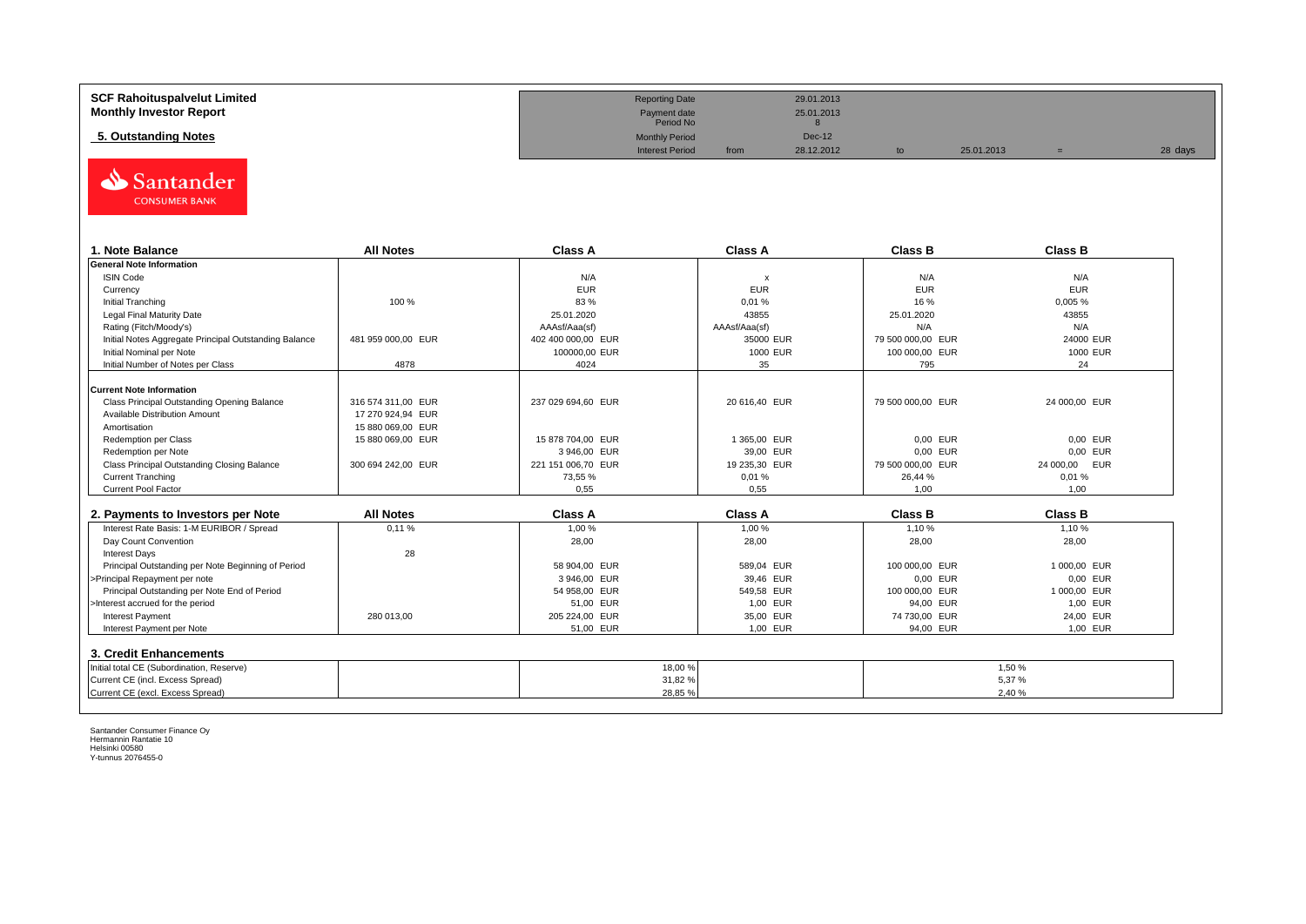| <b>SCF Rahoituspalvelut Limited</b> | <b>Reporting Date</b>     |      | 29.01.2013    |            |         |
|-------------------------------------|---------------------------|------|---------------|------------|---------|
| <b>Monthly Investor Report</b>      | Payment date<br>Period No |      | 25.01.2013    |            |         |
| 5. Outstanding Notes                | <b>Monthly Period</b>     |      | <b>Dec-12</b> |            |         |
|                                     | <b>Interest Period</b>    | from | 28.12.2012    | 25.01.2013 | 28 days |



| 1. Note Balance                                       | <b>All Notes</b>   | <b>Class A</b>     | <b>Class A</b> | <b>Class B</b>    | <b>Class B</b> |
|-------------------------------------------------------|--------------------|--------------------|----------------|-------------------|----------------|
| <b>General Note Information</b>                       |                    |                    |                |                   |                |
| <b>ISIN Code</b>                                      |                    | N/A                | X              | N/A               | N/A            |
| Currency                                              |                    | <b>EUR</b>         | <b>EUR</b>     | <b>EUR</b>        | <b>EUR</b>     |
| Initial Tranching                                     | 100 %              | 83 %               | 0,01%          | 16 %              | 0,005%         |
| Legal Final Maturity Date                             |                    | 25.01.2020         | 43855          | 25.01.2020        | 43855          |
| Rating (Fitch/Moody's)                                |                    | AAAsf/Aaa(sf)      | AAAsf/Aaa(sf)  | N/A               | N/A            |
| Initial Notes Aggregate Principal Outstanding Balance | 481 959 000.00 EUR | 402 400 000.00 EUR | 35000 EUR      | 79 500 000.00 EUR | 24000 EUR      |
| Initial Nominal per Note                              |                    | 100000,00 EUR      | 1000 EUR       | 100 000,00 EUR    | 1000 EUR       |
| Initial Number of Notes per Class                     | 4878               | 4024               | 35             | 795               | 24             |
|                                                       |                    |                    |                |                   |                |
| <b>Current Note Information</b>                       |                    |                    |                |                   |                |
| Class Principal Outstanding Opening Balance           | 316 574 311.00 EUR | 237 029 694.60 EUR | 20 616,40 EUR  | 79 500 000.00 EUR | 24 000,00 EUR  |
| Available Distribution Amount                         | 17 270 924.94 EUR  |                    |                |                   |                |
| Amortisation                                          | 15 880 069,00 EUR  |                    |                |                   |                |
| Redemption per Class                                  | 15 880 069,00 EUR  | 15 878 704,00 EUR  | 1365,00 EUR    | 0,00 EUR          | 0.00 EUR       |
| Redemption per Note                                   |                    | 3946.00 EUR        | 39,00 EUR      | 0.00 EUR          | 0.00 EUR       |
| Class Principal Outstanding Closing Balance           | 300 694 242,00 EUR | 221 151 006,70 EUR | 19 235,30 EUR  | 79 500 000,00 EUR | 24 000,00 EUR  |
| <b>Current Tranching</b>                              |                    | 73,55 %            | 0,01%          | 26,44 %           | 0.01%          |
| Current Pool Factor                                   |                    | 0.55               | 0.55           | 1.00              | 1,00           |

| 2. Payments to Investors per Note                  | <b>All Notes</b> | <b>Class A</b> | <b>Class A</b> | <b>Class B</b> | <b>Class B</b> |
|----------------------------------------------------|------------------|----------------|----------------|----------------|----------------|
| Interest Rate Basis: 1-M EURIBOR / Spread          | 0.11%            | 1.00 %         | 1,00 %         | 1.10%          | 1.10 %         |
| Day Count Convention                               |                  | 28,00          | 28,00          | 28,00          | 28,00          |
| <b>Interest Days</b>                               | 28               |                |                |                |                |
| Principal Outstanding per Note Beginning of Period |                  | 58 904.00 EUR  | 589.04 EUR     | 100 000,00 EUR | 1 000.00 EUR   |
| >Principal Repayment per note                      |                  | 3946.00 EUR    | 39.46 EUR      | 0,00 EUR       | 0.00 EUR       |
| Principal Outstanding per Note End of Period       |                  | 54 958.00 EUR  | 549.58 EUR     | 100 000,00 EUR | 1 000.00 EUR   |
| >Interest accrued for the period                   |                  | 51.00 EUR      | 1.00 EUR       | 94.00 EUR      | 1.00 EUR       |
| <b>Interest Payment</b>                            | 280 013.00       | 205 224.00 EUR | 35.00 EUR      | 74 730.00 EUR  | 24.00 EUR      |
| Interest Payment per Note                          |                  | 51,00 EUR      | 1,00 EUR       | 94,00 EUR      | 1,00 EUR       |
| 3. Credit Enhancements                             |                  |                |                |                |                |
| Initial total CE (Subordination, Reserve)          |                  | 18,00 %        |                |                | 1.50 %         |
| Current CE (incl. Excess Spread)                   |                  | 31,82%         |                |                | 5,37%          |
| Current CE (excl. Excess Spread)                   |                  | 28,85 %        |                |                | 2,40 %         |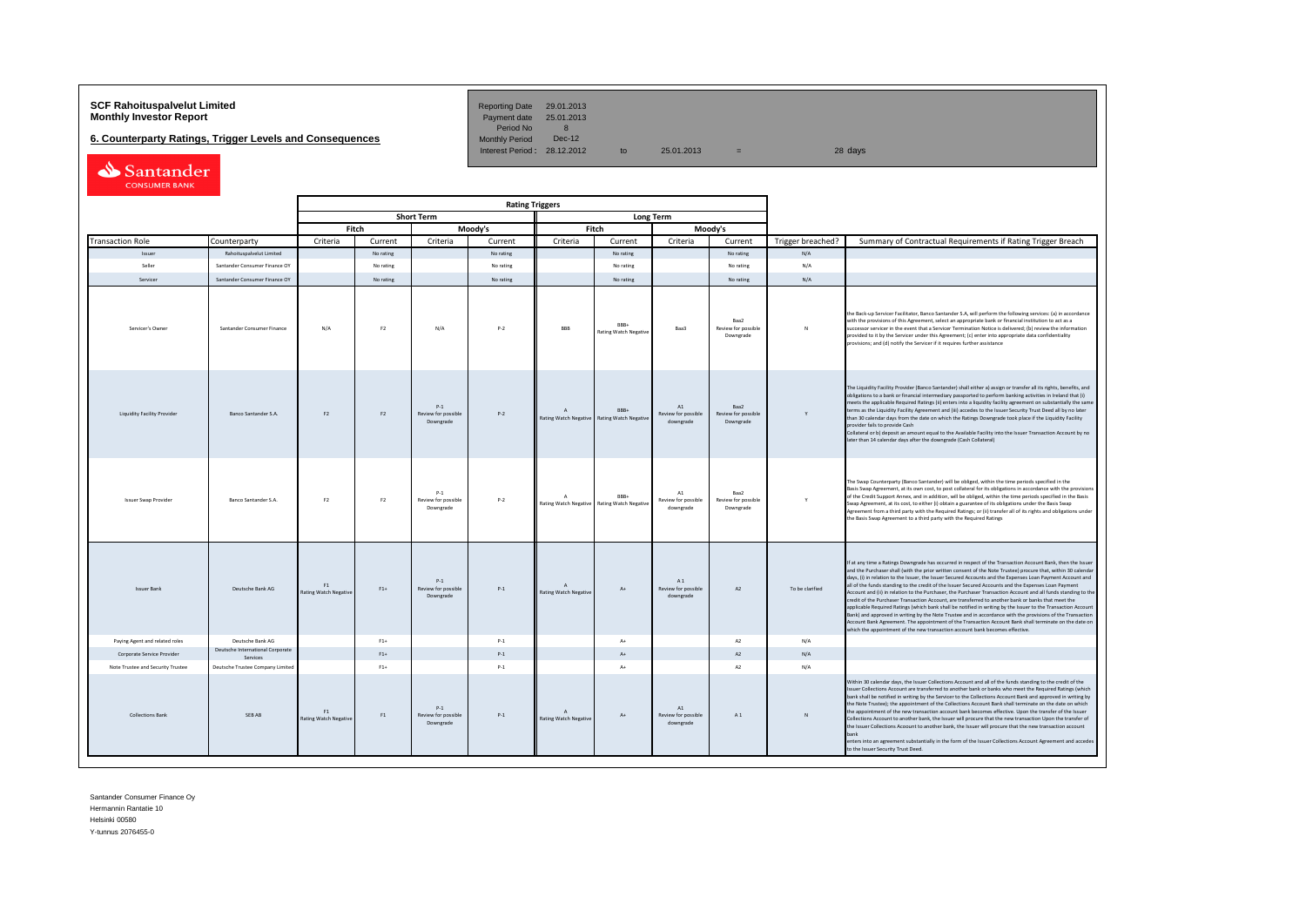# **SCF Rahoituspalvelut Limited Reporting Date 29.01.2013**<br> **Monthly Investor Report** Payment date 25.01.2013

**6. Counterparty Ratings, Trigger Levels and Consequences** 

Period No 8<br>Monthly Period Dec-12 Interest Period:  $28.12.2012$  to  $25.01.2013$  =

| Santander            |  |
|----------------------|--|
| <b>CONSUMER BANK</b> |  |

|                                    |                                              | <b>Rating Triggers</b>             |                |                                              |           |                                                |                                      |                                                 |                                          |                   |                                                                                                                                                                                                                                                                                                                                                                                                                                                                                                                                                                                                                                                                                                                                                                                                                                                                                                                                                                                                                                                                                                      |
|------------------------------------|----------------------------------------------|------------------------------------|----------------|----------------------------------------------|-----------|------------------------------------------------|--------------------------------------|-------------------------------------------------|------------------------------------------|-------------------|------------------------------------------------------------------------------------------------------------------------------------------------------------------------------------------------------------------------------------------------------------------------------------------------------------------------------------------------------------------------------------------------------------------------------------------------------------------------------------------------------------------------------------------------------------------------------------------------------------------------------------------------------------------------------------------------------------------------------------------------------------------------------------------------------------------------------------------------------------------------------------------------------------------------------------------------------------------------------------------------------------------------------------------------------------------------------------------------------|
|                                    |                                              |                                    |                | <b>Short Term</b>                            |           |                                                | <b>Long Term</b>                     |                                                 |                                          |                   |                                                                                                                                                                                                                                                                                                                                                                                                                                                                                                                                                                                                                                                                                                                                                                                                                                                                                                                                                                                                                                                                                                      |
|                                    |                                              |                                    | Fitch          |                                              | Moody's   |                                                | Fitch                                |                                                 | Moody's                                  |                   |                                                                                                                                                                                                                                                                                                                                                                                                                                                                                                                                                                                                                                                                                                                                                                                                                                                                                                                                                                                                                                                                                                      |
| <b>Transaction Role</b>            | Counterparty                                 | Criteria                           | Current        | Criteria                                     | Current   | Criteria                                       | Current                              | Criteria                                        | Current                                  | Trigger breached? | Summary of Contractual Requirements if Rating Trigger Breach                                                                                                                                                                                                                                                                                                                                                                                                                                                                                                                                                                                                                                                                                                                                                                                                                                                                                                                                                                                                                                         |
| Issuer                             | Rahoituspalvelut Limited                     |                                    | No rating      |                                              | No rating |                                                | No rating                            |                                                 | No rating                                | N/A               |                                                                                                                                                                                                                                                                                                                                                                                                                                                                                                                                                                                                                                                                                                                                                                                                                                                                                                                                                                                                                                                                                                      |
| Seller                             | Santander Consumer Finance OY                |                                    | No rating      |                                              | No rating |                                                | No rating                            |                                                 | No rating                                | N/A               |                                                                                                                                                                                                                                                                                                                                                                                                                                                                                                                                                                                                                                                                                                                                                                                                                                                                                                                                                                                                                                                                                                      |
| Servicer                           | Santander Consumer Finance OY                |                                    | No rating      |                                              | No rating |                                                | No rating                            |                                                 | No rating                                | N/A               |                                                                                                                                                                                                                                                                                                                                                                                                                                                                                                                                                                                                                                                                                                                                                                                                                                                                                                                                                                                                                                                                                                      |
| Servicer's Owner                   | Santander Consumer Finance                   | N/A                                | F <sub>2</sub> | N/A                                          | $P-2$     | <b>BBB</b>                                     | RRR-<br><b>Rating Watch Negative</b> | Baa3                                            | Baa2<br>Review for possible<br>Downgrade | $\mathbb{N}$      | the Back-up Servicer Facilitator, Banco Santander S.A, will perform the following services: (a) in accordance<br>with the provisions of this Agreement, select an appropriate bank or financial institution to act as a<br>successor servicer in the event that a Servicer Termination Notice is delivered; (b) review the information<br>provided to it by the Servicer under this Agreement; (c) enter into appropriate data confidentiality<br>provisions; and (d) notify the Servicer if it requires further assistance                                                                                                                                                                                                                                                                                                                                                                                                                                                                                                                                                                          |
| <b>Liquidity Facility Provider</b> | <b>Banco Santander S.A.</b>                  | F <sub>2</sub>                     | F2             | $P-1$<br>Review for possible<br>Downgrade    | $P-2$     | $\overline{A}$<br><b>Rating Watch Negative</b> | RRR+<br><b>Rating Watch Negativ</b>  | A1<br>Review for possible<br>downgrade          | Baa2<br>Review for possible<br>Downgrade | Y                 | The Liquidity Facility Provider (Banco Santander) shall either a) assign or transfer all its rights, benefits, and<br>obligations to a bank or financial intermediary passported to perform banking activities in Ireland that (i)<br>meets the applicable Required Ratings (ii) enters into a liquidity facility agreement on substantially the same<br>terms as the Liquidity Facility Agreement and (iii) accedes to the Issuer Security Trust Deed all by no later<br>than 30 calendar days from the date on which the Ratings Downgrade took place if the Liquidity Facility<br>provider fails to provide Cash<br>Collateral or b) deposit an amount equal to the Available Facility into the Issuer Transaction Account by no<br>later than 14 calendar days after the downgrade (Cash Collateral)                                                                                                                                                                                                                                                                                             |
| <b>Issuer Swap Provider</b>        | Banco Santander S.A.                         | F <sub>2</sub>                     | F <sub>2</sub> | $p_{-1}$<br>Review for possible<br>Downgrade | $P-2$     | $\Delta$<br>Rating Watch Negative              | RRR+<br><b>Rating Watch Negative</b> | $\Lambda$ 1<br>Review for possible<br>downgrade | Raa2<br>Review for possible<br>Downgrade | Y                 | The Swap Counterparty (Banco Santander) will be obliged, within the time periods specified in the<br>Basis Swap Agreement, at its own cost, to post collateral for its obligations in accordance with the provisions<br>of the Credit Support Annex, and in addition, will be obliged, within the time periods specified in the Basis<br>Swap Agreement, at its cost, to either (i) obtain a guarantee of its obligations under the Basis Swap<br>Agreement from a third party with the Required Ratings; or (ii) transfer all of its rights and obligations under<br>the Basis Swap Agreement to a third party with the Required Ratings                                                                                                                                                                                                                                                                                                                                                                                                                                                            |
| <b>Issuer Bank</b>                 | Deutsche Bank AG                             | F1<br><b>Rating Watch Negative</b> | $F1+$          | $P-1$<br>Review for possible<br>Downgrade    | $P-1$     | $\Lambda$<br>Rating Watch Negative             | $A+$                                 | A1<br>Review for possible<br>downgrade          | A2                                       | To be clarified   | If at any time a Ratings Downgrade has occurred in respect of the Transaction Account Bank, then the Issuer<br>and the Purchaser shall (with the prior written consent of the Note Trustee) procure that, within 30 calendar<br>days, (i) in relation to the Issuer, the Issuer Secured Accounts and the Expenses Loan Payment Account and<br>all of the funds standing to the credit of the Issuer Secured Accounts and the Expenses Loan Payment<br>Account and (ii) in relation to the Purchaser, the Purchaser Transaction Account and all funds standing to the<br>credit of the Purchaser Transaction Account, are transferred to another bank or banks that meet the<br>applicable Required Ratings (which bank shall be notified in writing by the Issuer to the Transaction Account<br>Bank) and approved in writing by the Note Trustee and in accordance with the provisions of the Transaction<br>Account Bank Agreement. The appointment of the Transaction Account Bank shall terminate on the date on<br>which the appointment of the new transaction account bank becomes effective. |
| Paying Agent and related roles     | Deutsche Bank AG                             |                                    | $F1+$          |                                              | $P-1$     |                                                | $A+$                                 |                                                 | A2                                       | N/A               |                                                                                                                                                                                                                                                                                                                                                                                                                                                                                                                                                                                                                                                                                                                                                                                                                                                                                                                                                                                                                                                                                                      |
| Corporate Service Provider         | Deutsche International Corporate<br>Services |                                    | $F1+$          |                                              | $P-1$     |                                                | $\Lambda$                            |                                                 | A2                                       | N/A               |                                                                                                                                                                                                                                                                                                                                                                                                                                                                                                                                                                                                                                                                                                                                                                                                                                                                                                                                                                                                                                                                                                      |
| Note Trustee and Security Trustee  | Deutsche Trustee Company Limited             |                                    | $F1+$          |                                              | $P-1$     |                                                | $A+$                                 |                                                 | A2                                       | N/A               |                                                                                                                                                                                                                                                                                                                                                                                                                                                                                                                                                                                                                                                                                                                                                                                                                                                                                                                                                                                                                                                                                                      |
| <b>Collections Bank</b>            | SEB AB                                       | F1<br><b>Rating Watch Negative</b> | F1             | $P-1$<br>Review for possible<br>Downgrade    | $P-1$     | $\Lambda$<br><b>Rating Watch Negative</b>      | At                                   | A1<br>Review for possible<br>downgrade          | A1                                       | $\mathbf{N}$      | Within 30 calendar days, the Issuer Collections Account and all of the funds standing to the credit of the<br>Issuer Collections Account are transferred to another bank or banks who meet the Required Ratings (which<br>bank shall be notified in writing by the Servicer to the Collections Account Bank and approved in writing by<br>the Note Trustee): the appointment of the Collections Account Bank shall terminate on the date on which<br>the appointment of the new transaction account bank becomes effective. Upon the transfer of the Issuer<br>Collections Account to another bank, the Issuer will procure that the new transaction Upon the transfer of<br>the Issuer Collections Acoount to another bank, the Issuer will procure that the new transaction account<br>bank<br>enters into an agreement substantially in the form of the Issuer Collections Account Agreement and accedes<br>to the Issuer Security Trust Deed.                                                                                                                                                    |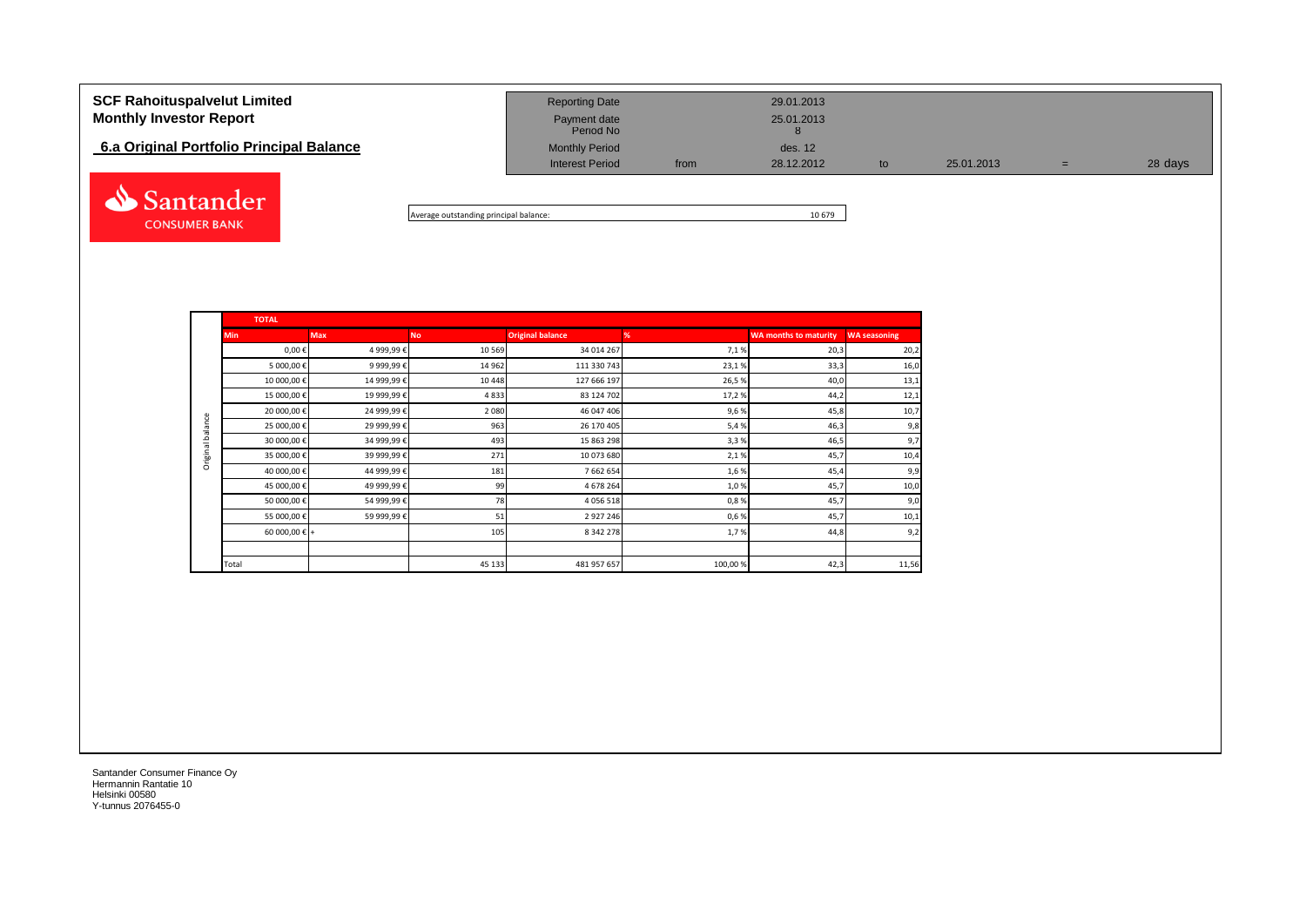| <b>SCF Rahoituspalvelut Limited</b><br><b>Monthly Investor Report</b> | <b>Reporting Date</b><br>Payment date<br>Period No |      | 29.01.2013<br>25.01.2013 |    |            |   |         |
|-----------------------------------------------------------------------|----------------------------------------------------|------|--------------------------|----|------------|---|---------|
| 6.a Original Portfolio Principal Balance                              | <b>Monthly Period</b><br><b>Interest Period</b>    | from | des. 12<br>28.12.2012    | to | 25.01.2013 | = | 28 days |
| Santander                                                             |                                                    |      |                          |    |            |   |         |

Average outstanding principal balance: 10 679

|                  | <b>TOTAL</b>           |             |           |                         |         |                              |                     |  |  |  |  |  |
|------------------|------------------------|-------------|-----------|-------------------------|---------|------------------------------|---------------------|--|--|--|--|--|
|                  | <b>Min</b>             | <b>Max</b>  | <b>No</b> | <b>Original balance</b> | %       | <b>WA months to maturity</b> | <b>WA seasoning</b> |  |  |  |  |  |
|                  | $0,00 \in$             | 4 999,99€   | 10 5 69   | 34 014 267              | 7,1%    | 20,3                         | 20,2                |  |  |  |  |  |
|                  | 5 000,00€              | 9 999,99€   | 14 962    | 111 330 743             | 23,1%   | 33,3                         | 16,0                |  |  |  |  |  |
|                  | 10 000,00€             | 14 999,99€  | 10 4 48   | 127 666 197             | 26,5%   | 40,0                         | 13,1                |  |  |  |  |  |
|                  | 15 000,00€             | 19 999,99€  | 4833      | 83 124 702              | 17,2%   | 44,2                         | 12,1                |  |  |  |  |  |
|                  | 20 000,00€             | 24 999,99€  | 2 0 8 0   | 46 047 406              | 9,6%    | 45,8                         | 10,7                |  |  |  |  |  |
| Original balance | 25 000,00€             | 29 999,99€  | 963       | 26 170 405              | 5,4%    | 46,3                         | 9,8                 |  |  |  |  |  |
|                  | 30 000,00 €            | 34 999,99 € | 493       | 15 863 298              | 3,3%    | 46,5                         | 9,7                 |  |  |  |  |  |
|                  | 35 000,00 €            | 39 999,99 € | 271       | 10 073 680              | 2,1%    | 45,7                         | 10,4                |  |  |  |  |  |
|                  | 40 000,00€             | 44 999,99€  | 181       | 7 662 654               | 1,6%    | 45,4                         | 9,9                 |  |  |  |  |  |
|                  | 45 000,00€             | 49 999,99€  | 99        | 4 678 264               | 1,0%    | 45,7                         | 10,0                |  |  |  |  |  |
|                  | 50 000,00€             | 54 999,99€  | 78        | 4 0 5 6 5 1 8           | 0,8%    | 45,7                         | 9,0                 |  |  |  |  |  |
|                  | 55 000,00€             | 59 999,99 € | 51        | 2 9 2 7 2 4 6           | 0,6%    | 45,7                         | 10,1                |  |  |  |  |  |
|                  | 60 000,00 $\epsilon$ + |             | 105       | 8 3 4 2 2 7 8           | 1,7%    | 44,8                         | 9,2                 |  |  |  |  |  |
|                  |                        |             |           |                         |         |                              |                     |  |  |  |  |  |
|                  | Total                  |             | 45 133    | 481 957 657             | 100,00% | 42,3                         | 11,56               |  |  |  |  |  |

Santander Consumer Finance Oy Hermannin Rantatie 10 Helsinki 00580 Y-tunnus 2076455-0

**CONSUMER BANK**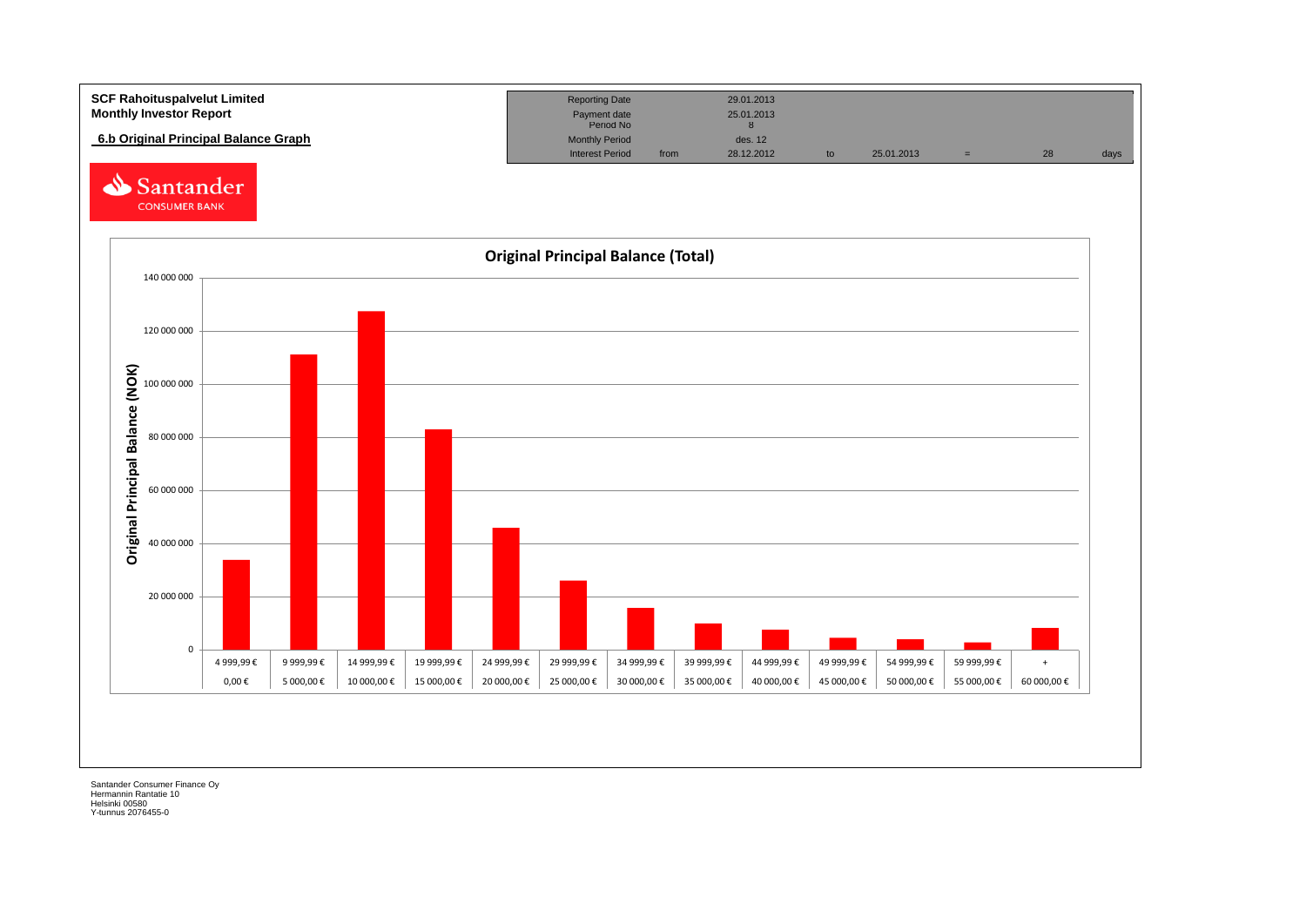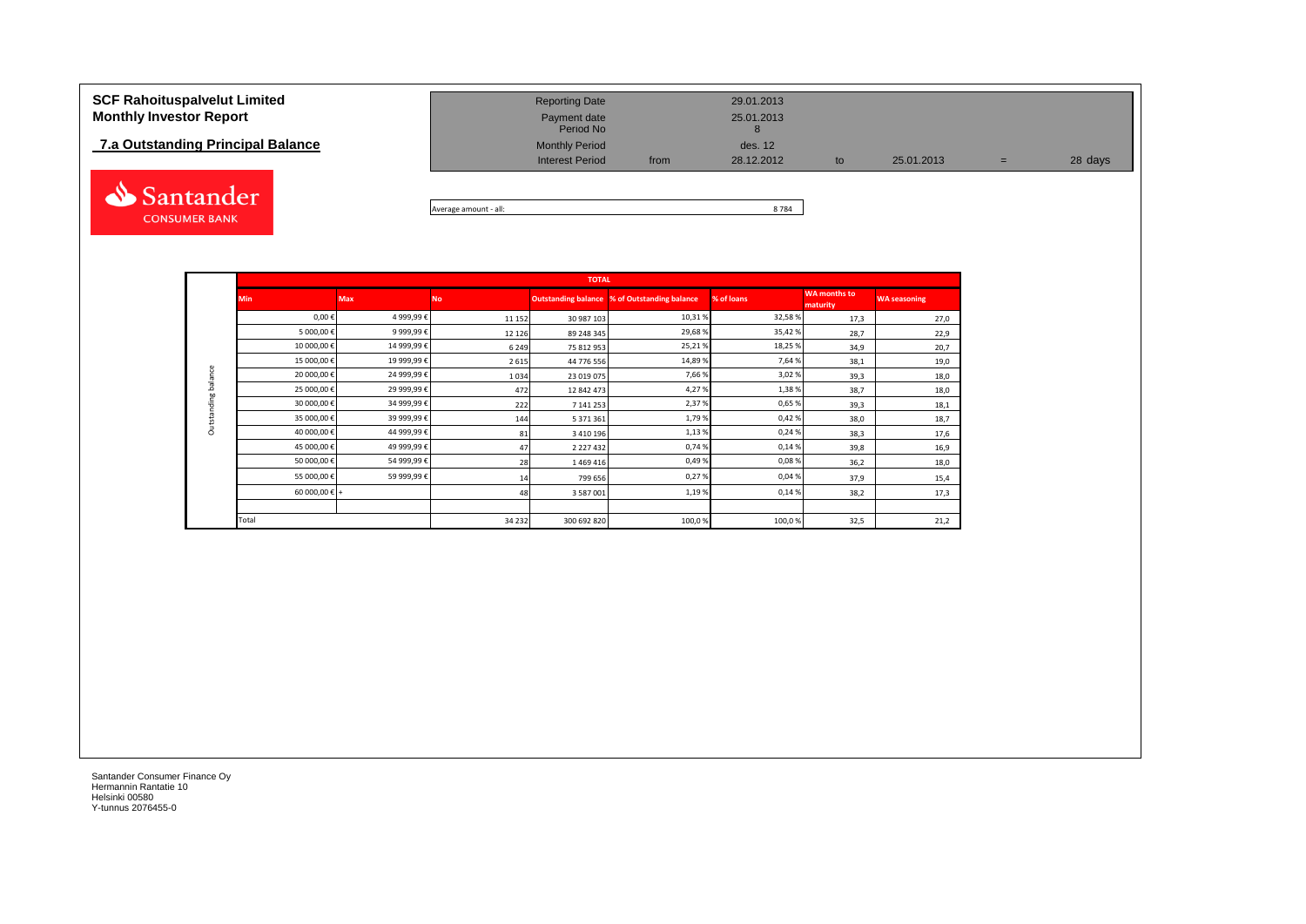# **7.a Outstanding Principal Balance**



| <b>SCF Rahoituspalvelut Limited</b><br><b>Monthly Investor Report</b> | <b>Reporting Date</b><br>Payment date<br>Period No |      | 29.01.2013<br>25.01.2013 |    |            |     |         |
|-----------------------------------------------------------------------|----------------------------------------------------|------|--------------------------|----|------------|-----|---------|
| 7.a Outstanding Principal Balance                                     | <b>Monthly Period</b><br><b>Interest Period</b>    | from | des. 12<br>28.12.2012    | to | 25.01.2013 | $=$ | 28 days |
|                                                                       |                                                    |      |                          |    |            |     |         |

Average amount - all: 8 784

|                     |               |            |          | <b>TOTAL</b>               |                          |            |                                 |                     |
|---------------------|---------------|------------|----------|----------------------------|--------------------------|------------|---------------------------------|---------------------|
|                     | <b>Min</b>    | <b>Max</b> | No       | <b>Outstanding balance</b> | % of Outstanding balance | % of loans | <b>WA</b> months to<br>maturity | <b>WA seasoning</b> |
|                     | $0,00 \in$    | 4 999,99€  | 11 15 2  | 30 987 103                 | 10,31%                   | 32,58%     | 17,3                            | 27,0                |
|                     | 5 000,00€     | 9 999,99€  | 12 1 2 6 | 89 248 345                 | 29,68%                   | 35,42%     | 28,7                            | 22,9                |
|                     | 10 000,00€    | 14 999,99€ | 6 2 4 9  | 75 812 953                 | 25,21%                   | 18,25%     | 34,9                            | 20,7                |
|                     | 15 000,00€    | 19 999,99€ | 2615     | 44 776 556                 | 14,89%                   | 7,64%      | 38,1                            | 19,0                |
| Outstanding balance | 20 000,00€    | 24 999,99€ | 1034     | 23 019 075                 | 7,66%                    | 3,02%      | 39,3                            | 18,0                |
|                     | 25 000,00€    | 29 999,99€ | 472      | 12 842 473                 | 4,27%                    | 1,38%      | 38,7                            | 18,0                |
|                     | 30 000,00€    | 34 999,99€ | 222      | 7 141 253                  | 2,37%                    | 0,65%      | 39,3                            | 18,1                |
|                     | 35 000,00€    | 39 999,99€ | 144      | 5 371 361                  | 1,79%                    | 0,42%      | 38,0                            | 18,7                |
|                     | 40 000,00€    | 44 999,99€ | 81       | 3 4 10 19 6                | 1,13%                    | 0,24%      | 38,3                            | 17,6                |
|                     | 45 000,00€    | 49 999,99€ | 47       | 2 2 2 7 4 3 2              | 0,74%                    | 0,14%      | 39,8                            | 16,9                |
|                     | 50 000,00€    | 54 999,99€ | 28       | 1469416                    | 0,49%                    | 0,08%      | 36,2                            | 18,0                |
|                     | 55 000,00€    | 59 999,99€ | 14       | 799 656                    | 0,27%                    | 0,04%      | 37,9                            | 15,4                |
|                     | 60 000,00 € + |            | 48       | 3 587 001                  | 1,19%                    | 0,14%      | 38,2                            | 17,3                |
|                     |               |            |          |                            |                          |            |                                 |                     |
|                     | Total         |            | 34 2 32  | 300 692 820                | 100,0%                   | 100,0%     | 32,5                            | 21,2                |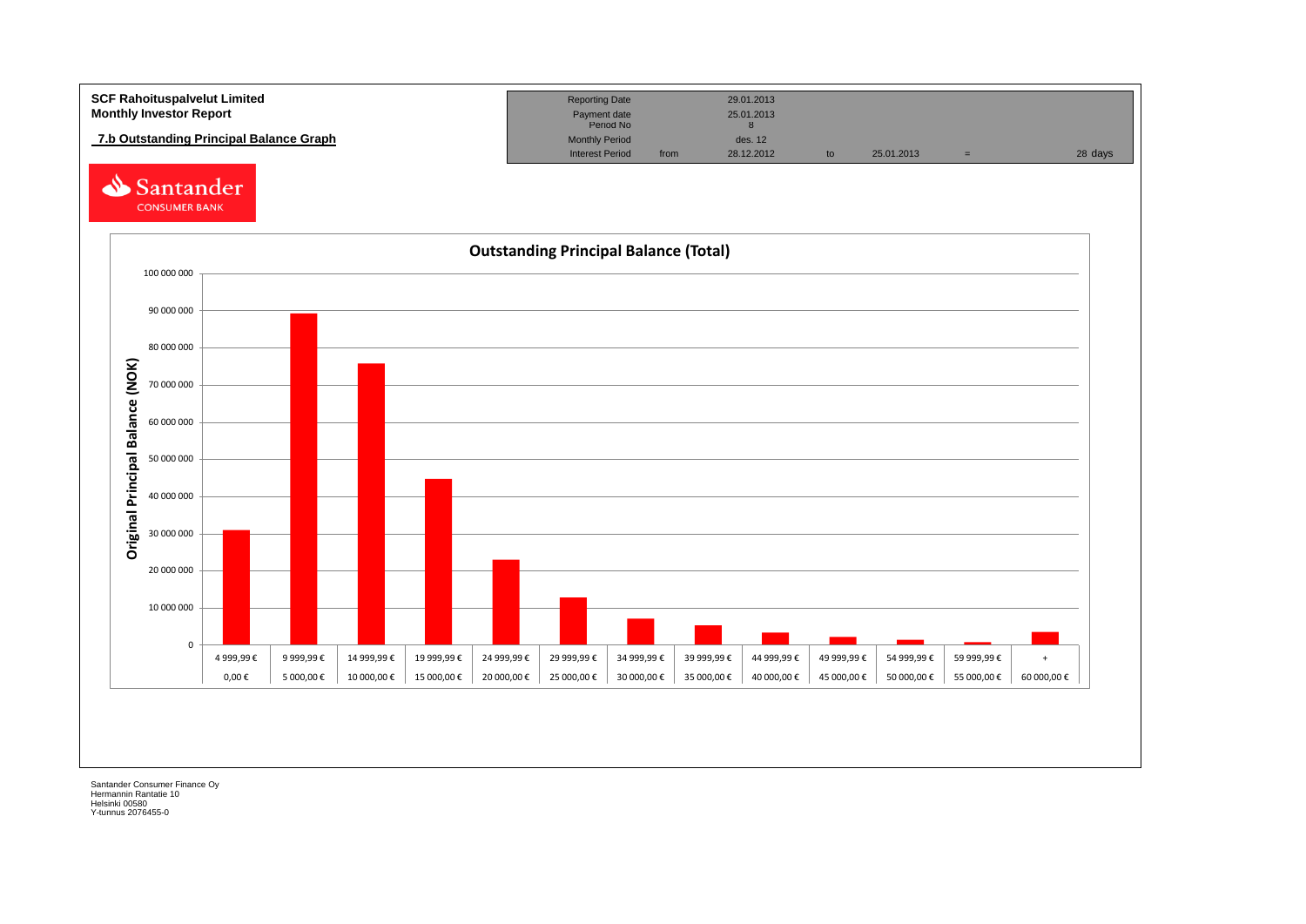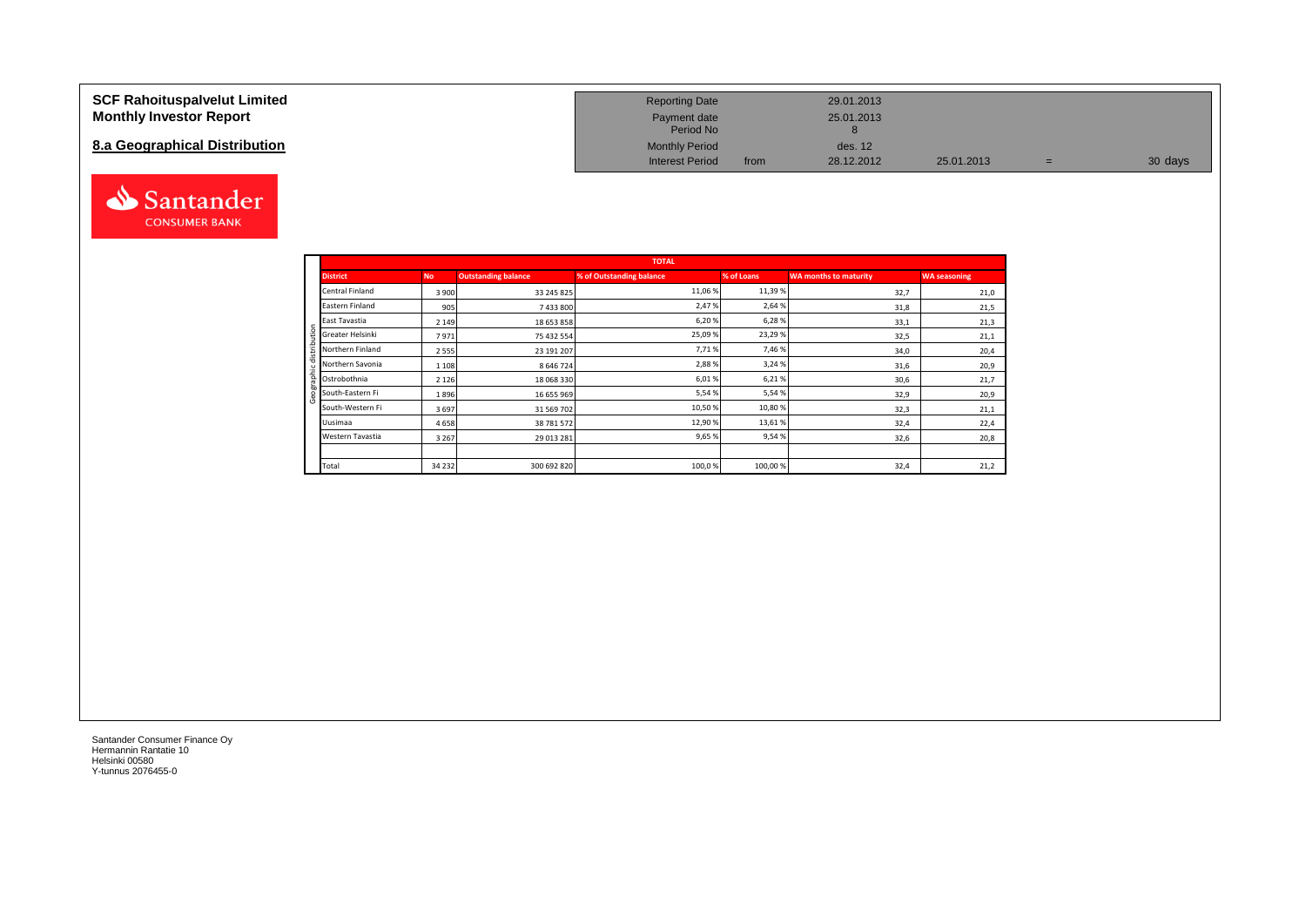### **SCF Rahoituspalvelut Limited Monthly Investor Report**

# **8.a Geographical Distribution**



| <b>Reporting Date</b>     |      | 29.01.2013 |            |   |         |
|---------------------------|------|------------|------------|---|---------|
| Payment date<br>Period No |      | 25.01.2013 |            |   |         |
| <b>Monthly Period</b>     |      | des. 12    |            |   |         |
| <b>Interest Period</b>    | from | 28.12.2012 | 25.01.2013 | = | 30 days |

|                                                       |           |                            | <b>TOTAL</b>             |            |                       |                     |
|-------------------------------------------------------|-----------|----------------------------|--------------------------|------------|-----------------------|---------------------|
| <b>District</b>                                       | <b>No</b> | <b>Outstanding balance</b> | % of Outstanding balance | % of Loans | WA months to maturity | <b>WA seasoning</b> |
| <b>Central Finland</b>                                | 3 9 0 0   | 33 245 825                 | 11,06 %                  | 11,39 %    | 32,7                  | 21,0                |
| Eastern Finland                                       | 905       | 7 433 800                  | 2,47%                    | 2,64 %     | 31,8                  | 21,5                |
| East Tavastia                                         | 2 1 4 9   | 18 653 858                 | 6,20%                    | 6,28%      | 33,1                  | 21,3                |
| Greater Helsinki<br>Ë                                 | 7971      | 75 432 554                 | 25,09%                   | 23,29%     | 32,5                  | 21,1                |
| Northern Finland<br>₩                                 | 2 5 5 5   | 23 191 207                 | 7,71%                    | 7,46 %     | 34,0                  | 20,4                |
| Northern Savonia                                      | 1 1 0 8   | 8 646 724                  | 2,88%                    | 3,24 %     | 31,6                  | 20,9                |
| 흍<br>Ostrobothnia                                     | 2 1 2 6   | 18 068 330                 | 6,01%                    | 6,21%      | 30,6                  | 21,7                |
| $\overline{50}$<br>South-Eastern Fi<br>$\overline{ }$ | 1896      | 16 655 969                 | 5,54%                    | 5,54%      | 32,9                  | 20,9                |
| South-Western Fi                                      | 3697      | 31 569 702                 | 10,50%                   | 10,80%     | 32,3                  | 21,1                |
| Uusimaa                                               | 4658      | 38 781 572                 | 12,90%                   | 13,61%     | 32,4                  | 22,4                |
| Western Tavastia                                      | 3 2 6 7   | 29 013 281                 | 9,65%                    | 9,54%      | 32,6                  | 20,8                |
|                                                       |           |                            |                          |            |                       |                     |
| Total                                                 | 34 2 32   | 300 692 820                | 100,0%                   | 100,00%    | 32,4                  | 21,2                |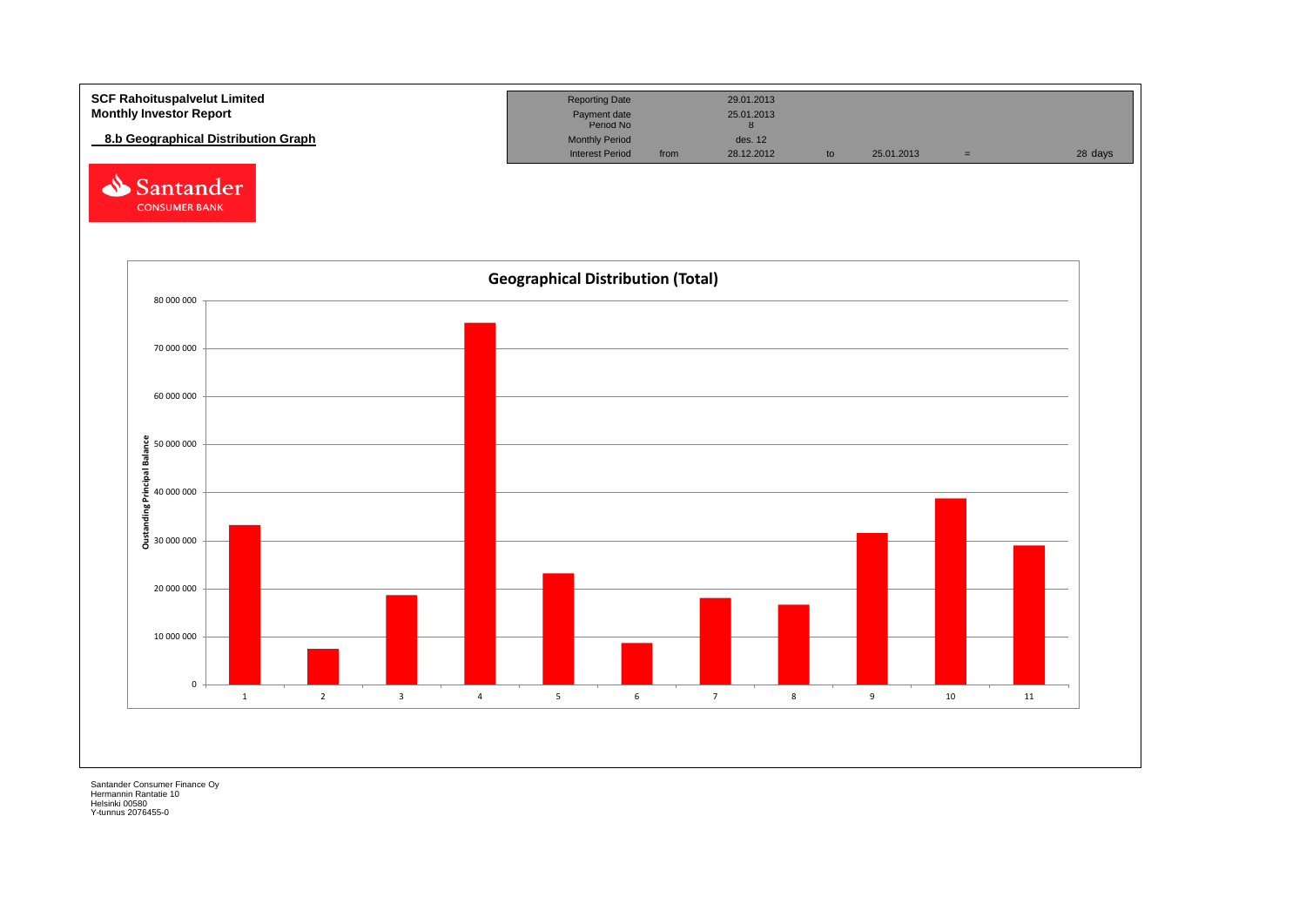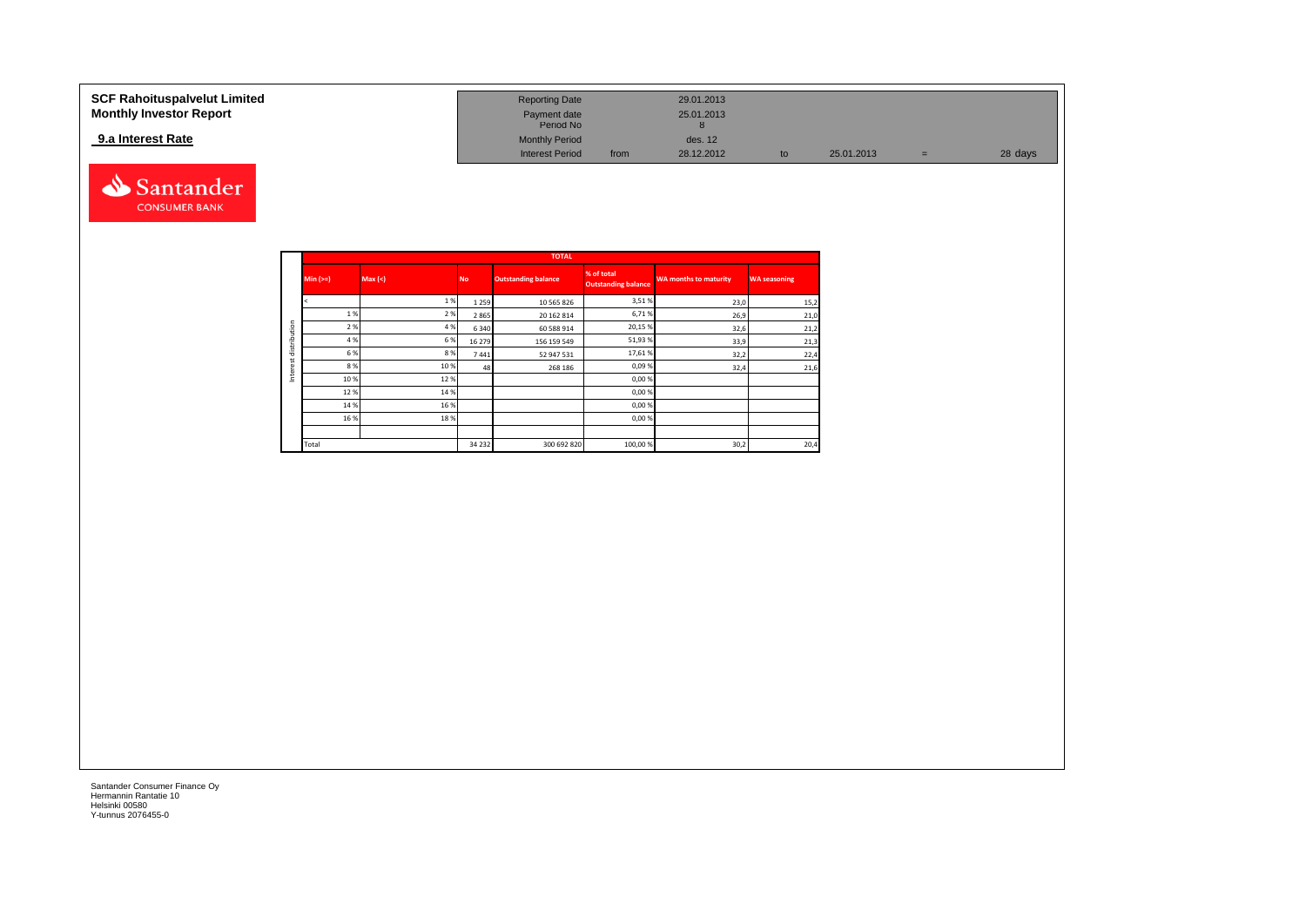### **9.a Interest Rate**



| SCF Rahoituspalvelut Limited   | <b>Reporting Date</b>     |      | 29.01.2013 |            |     |         |
|--------------------------------|---------------------------|------|------------|------------|-----|---------|
| <b>Monthly Investor Report</b> | Payment date<br>Period No |      | 25.01.2013 |            |     |         |
| 9.a Interest Rate              | <b>Monthly Period</b>     |      | des. 12    |            |     |         |
|                                | <b>Interest Period</b>    | from | 28.12.2012 | 25.01.2013 | $=$ | 28 days |

|              |            |         |           | <b>TOTAL</b>               |                                          |                              |                     |
|--------------|------------|---------|-----------|----------------------------|------------------------------------------|------------------------------|---------------------|
|              | $Min (==)$ | Max (<) | <b>No</b> | <b>Outstanding balance</b> | % of total<br><b>Outstanding balance</b> | <b>WA months to maturity</b> | <b>WA seasoning</b> |
|              |            | 1%      | 1 2 5 9   | 10 565 826                 | 3,51%                                    | 23,0                         | 15,2                |
|              | 1%         | 2%      | 2865      | 20 162 814                 | 6,71%                                    | 26,9                         | 21,0                |
| distribution | 2 %        | 4 %     | 6 3 4 0   | 60 588 914                 | 20,15%                                   | 32,6                         | 21,2                |
|              | 4 %        | 6 %     | 16 279    | 156 159 549                | 51,93%                                   | 33,9                         | 21,3                |
|              | 6 %        | 8%      | 7441      | 52 947 531                 | 17,61%                                   | 32,2                         | 22,4                |
|              | 8%         | 10 %    | 48        | 268 186                    | 0,09%                                    | 32,4                         | 21,6                |
| Inter        | 10%        | 12%     |           |                            | 0,00%                                    |                              |                     |
|              | 12%        | 14 %    |           |                            | 0,00%                                    |                              |                     |
|              | 14 %       | 16 %    |           |                            | 0,00%                                    |                              |                     |
|              | 16%        | 18%     |           |                            | 0,00%                                    |                              |                     |
|              |            |         |           |                            |                                          |                              |                     |
|              | Total      |         | 34 2 32   | 300 692 820                | 100,00 %                                 | 30,2                         | 20,4                |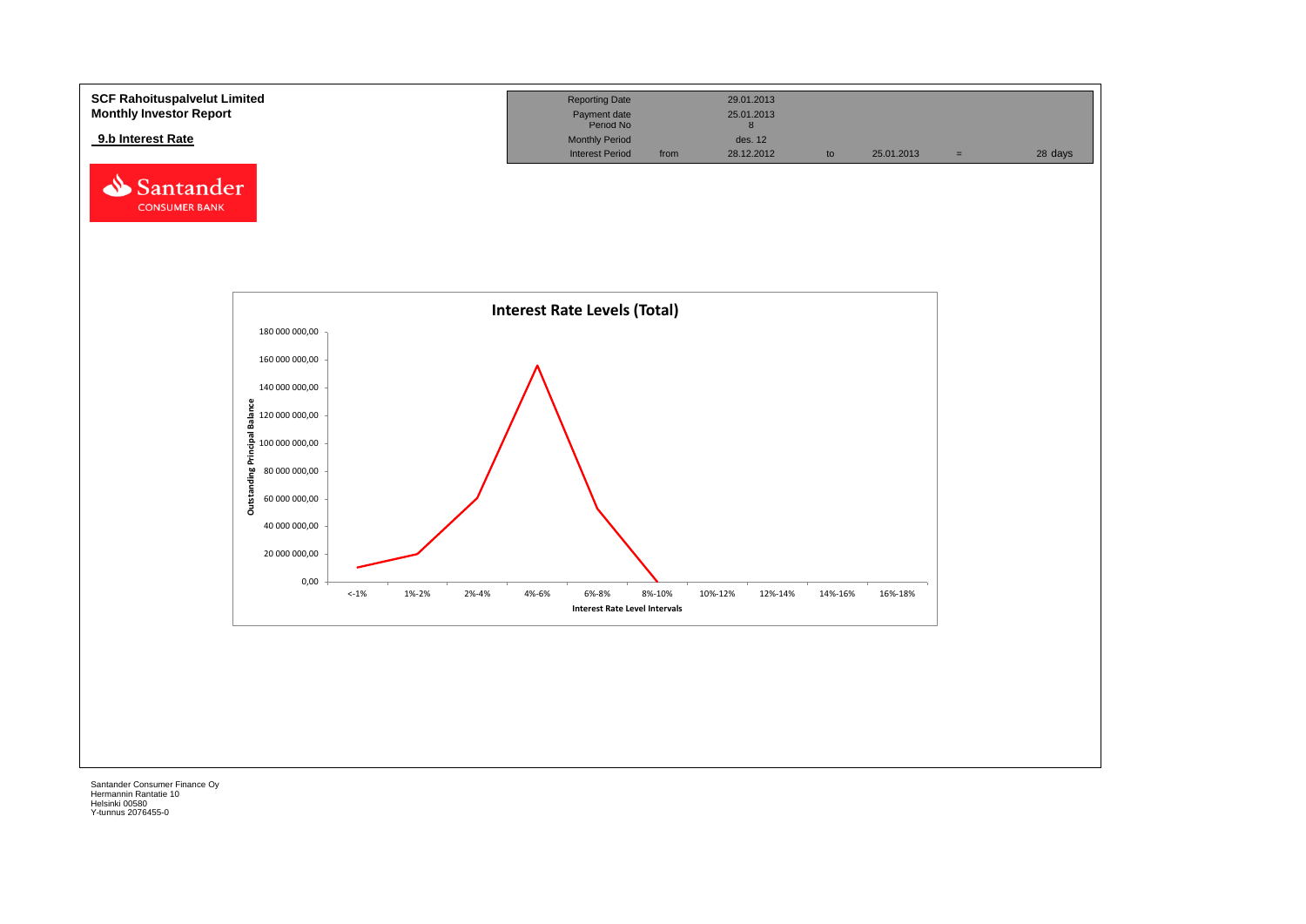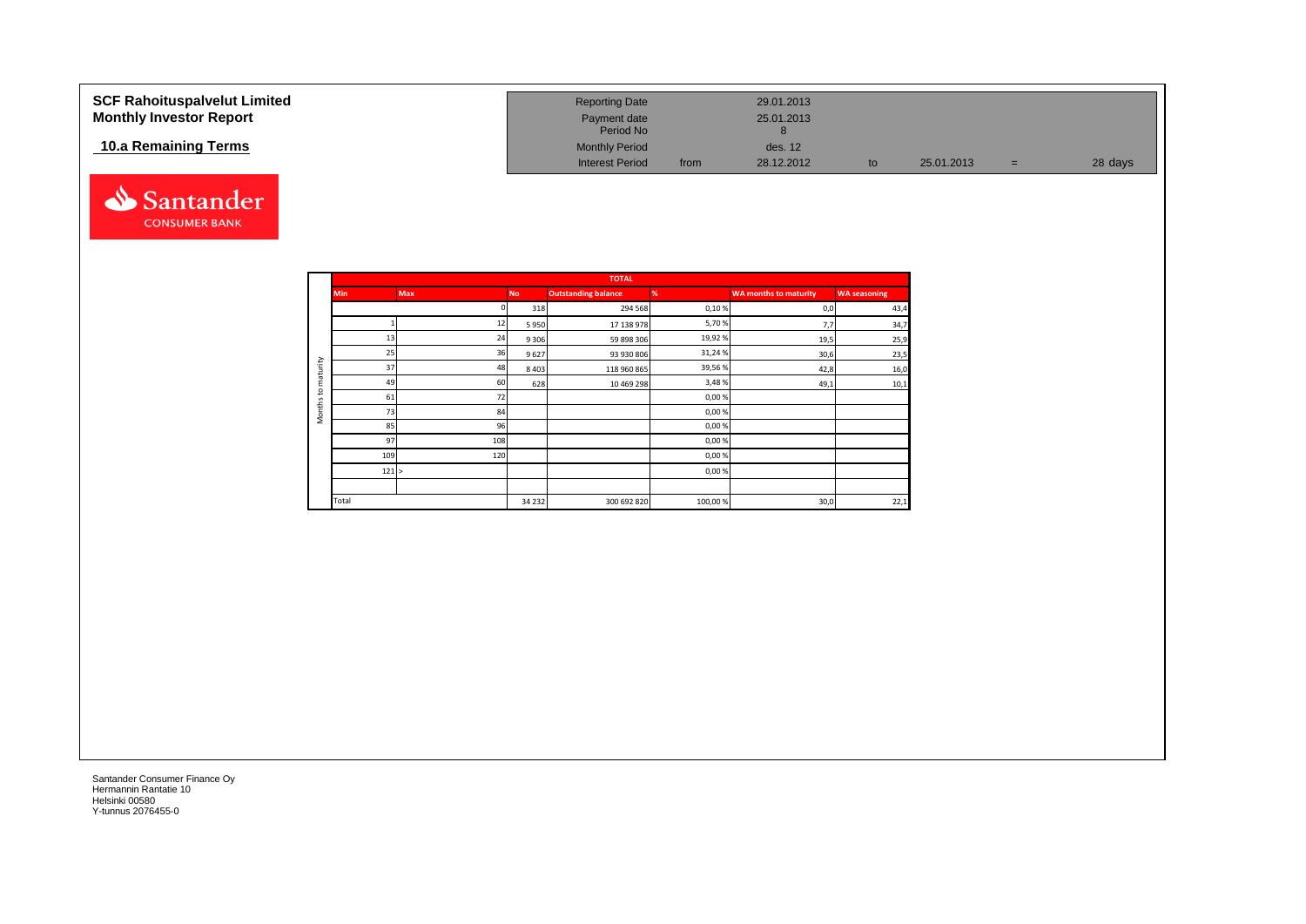| <b>SCF Rahoituspalvelut Limited</b><br><b>Monthly Investor Report</b> | <b>Reporting Date</b><br>Payment date<br>Period No |      | 29.01.2013<br>25.01.2013 |    |            |     |         |
|-----------------------------------------------------------------------|----------------------------------------------------|------|--------------------------|----|------------|-----|---------|
| 10.a Remaining Terms                                                  | <b>Monthly Period</b><br><b>Interest Period</b>    | from | des. 12<br>28.12.2012    | to | 25.01.2013 | $=$ | 28 days |



|                     |            |            |           | <b>TOTAL</b>               |         |                              |                     |
|---------------------|------------|------------|-----------|----------------------------|---------|------------------------------|---------------------|
|                     | <b>Min</b> | <b>Max</b> | <b>No</b> | <b>Outstanding balance</b> | %       | <b>WA months to maturity</b> | <b>WA seasoning</b> |
|                     |            |            | 318       | 294 568                    | 0,10%   | 0,0                          | 43,4                |
|                     |            | 12         | 5950      | 17 138 978                 | 5,70%   | 7,7                          | 34,7                |
|                     | 13         | 24         | 9 3 0 6   | 59 898 306                 | 19,92%  | 19,5                         | 25,9                |
|                     | 25         | 36         | 9627      | 93 930 806                 | 31,24%  | 30,6                         | 23,5                |
| maturity            | 37         | 48         | 8 4 0 3   | 118 960 865                | 39,56%  | 42,8                         | 16,0                |
|                     | 49         | 60         | 628       | 10 469 298                 | 3,48%   | 49,1                         | 10,1                |
| 5                   | 61         | 72         |           |                            | 0,00%   |                              |                     |
| Months <sup>-</sup> | 73         | 84         |           |                            | 0,00%   |                              |                     |
|                     | 85         | 96         |           |                            | 0,00%   |                              |                     |
|                     | 97         | 108        |           |                            | 0,00%   |                              |                     |
|                     | 109        | 120        |           |                            | 0,00%   |                              |                     |
|                     | 121 >      |            |           |                            | 0,00%   |                              |                     |
|                     |            |            |           |                            |         |                              |                     |
|                     | Total      |            | 34 2 32   | 300 692 820                | 100,00% | 30,0                         | 22,1                |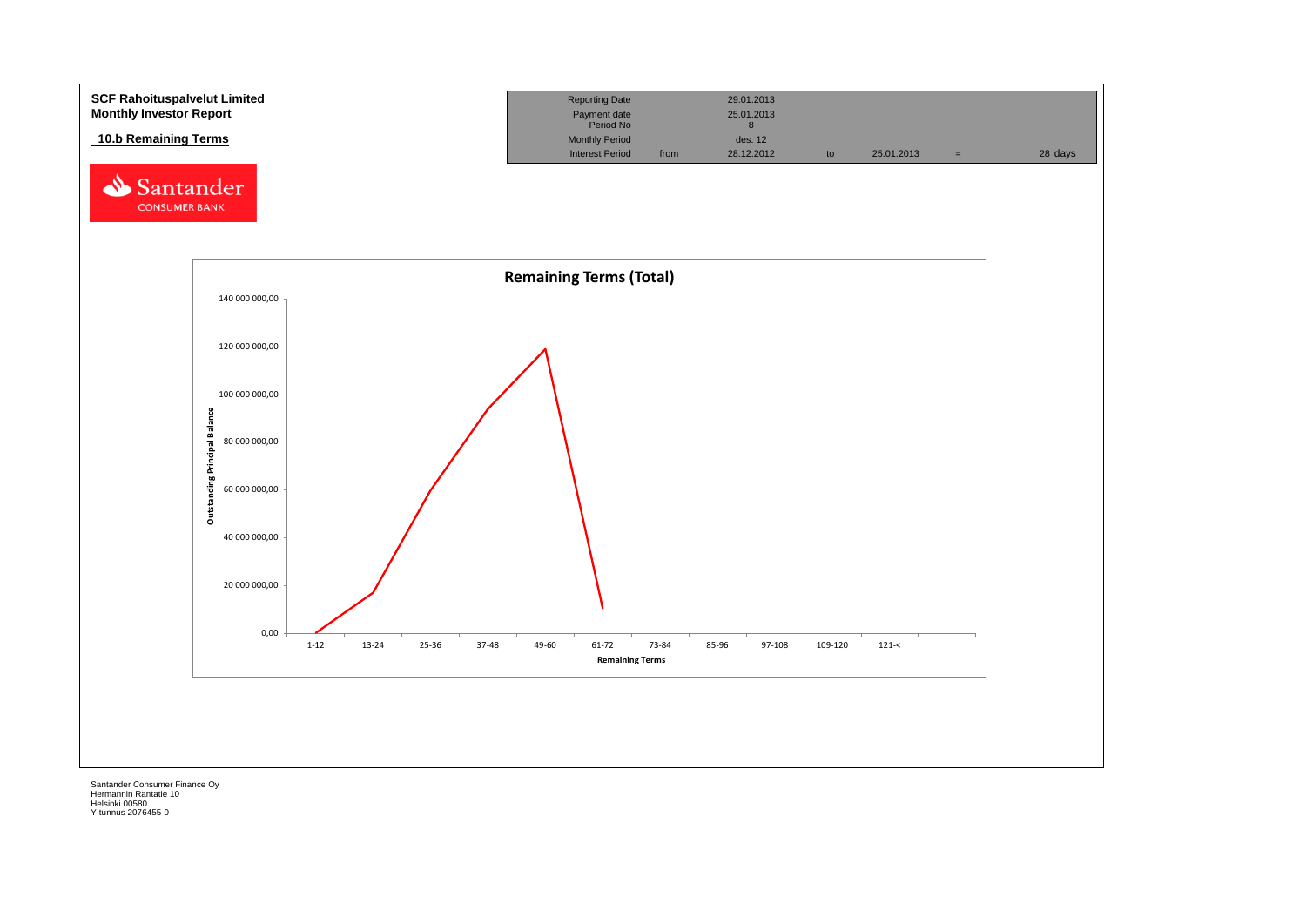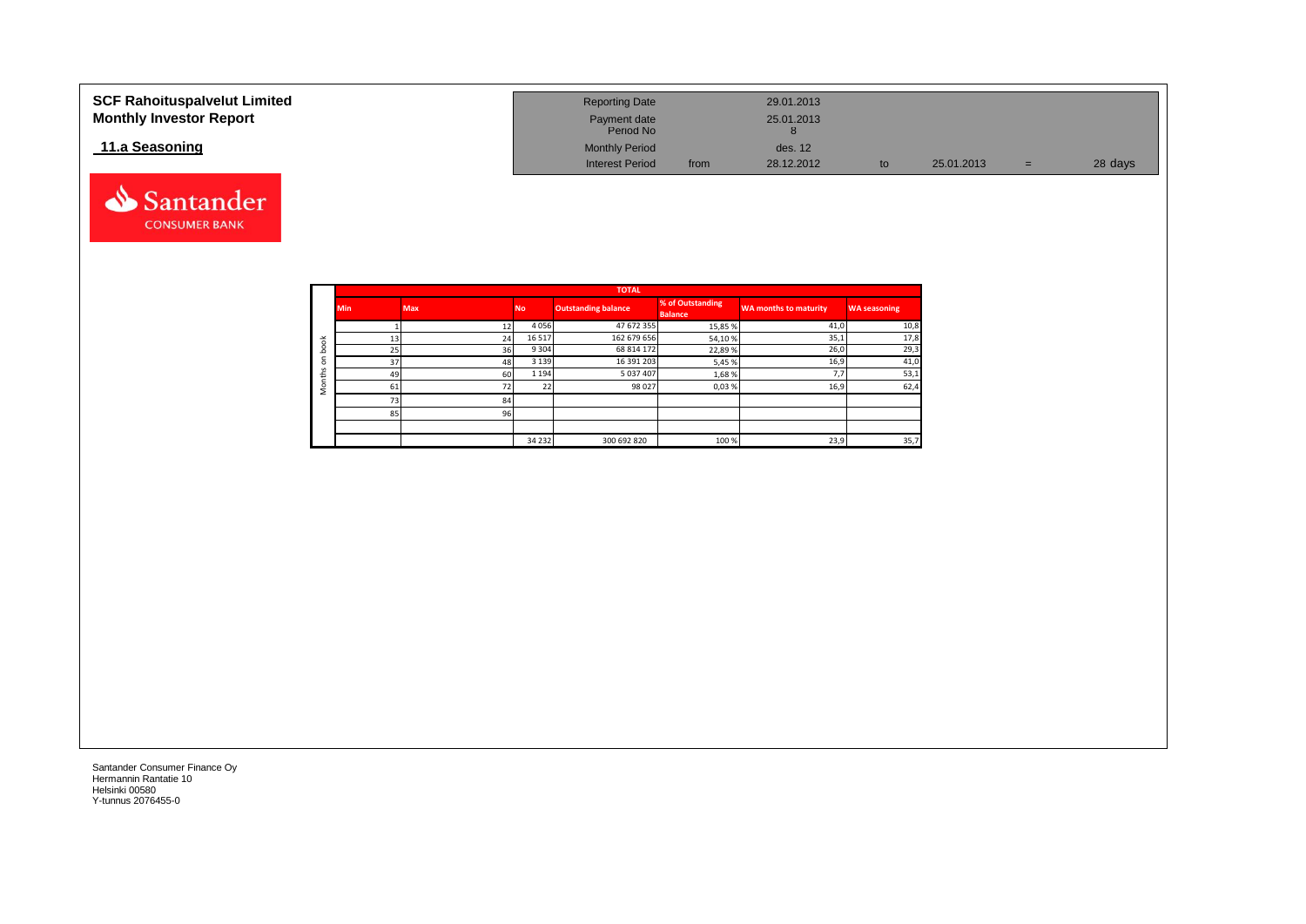| <b>SCF Rahoituspalvelut Limited</b><br><b>Monthly Investor Report</b> | <b>Reporting Date</b><br>Payment date<br>Period No |      | 29.01.2013<br>25.01.2013 |    |            |     |         |
|-----------------------------------------------------------------------|----------------------------------------------------|------|--------------------------|----|------------|-----|---------|
| 11.a Seasoning                                                        | <b>Monthly Period</b>                              |      | des. 12                  |    |            |     |         |
|                                                                       | <b>Interest Period</b>                             | from | 28.12.2012               | to | 25.01.2013 | $=$ | 28 days |



|                                |            |            |           | <b>TOTAL</b>               |                                    |                       |                     |
|--------------------------------|------------|------------|-----------|----------------------------|------------------------------------|-----------------------|---------------------|
|                                | <b>Min</b> | <b>Max</b> | <b>No</b> | <b>Outstanding balance</b> | % of Outstanding<br><b>Balance</b> | WA months to maturity | <b>WA seasoning</b> |
|                                |            | 12         | 4056      | 47 672 355                 | 15,85%                             | 41,0                  | 10,8                |
| 者                              | 13         | 24         | 16 5 17   | 162 679 656                | 54,10%                             | 35,1                  | 17,8                |
| c<br>ء                         | 25         | 36         | 9 3 0 4   | 68 814 172                 | 22,89%                             | 26,0                  | 29,3                |
| $\blacksquare$<br>$\circ$<br>S | 37         | 48         | 3 1 3 9   | 16 391 203                 | 5,45 %                             | 16,9                  | 41,0                |
|                                | 49         | 60         | 1 1 9 4   | 5 037 407                  | 1,68%                              | 7,7                   | 53,1                |
| $\circ$<br>÷                   | 61         | 72         | 22<br>22  | 98 027                     | 0,03%                              | 16,9                  | 62,4                |
|                                | 73         | 84         |           |                            |                                    |                       |                     |
|                                | 85         | 96         |           |                            |                                    |                       |                     |
|                                |            |            |           |                            |                                    |                       |                     |
|                                |            |            | 34 2 32   | 300 692 820                | 100 %                              | 23,9                  | 35,7                |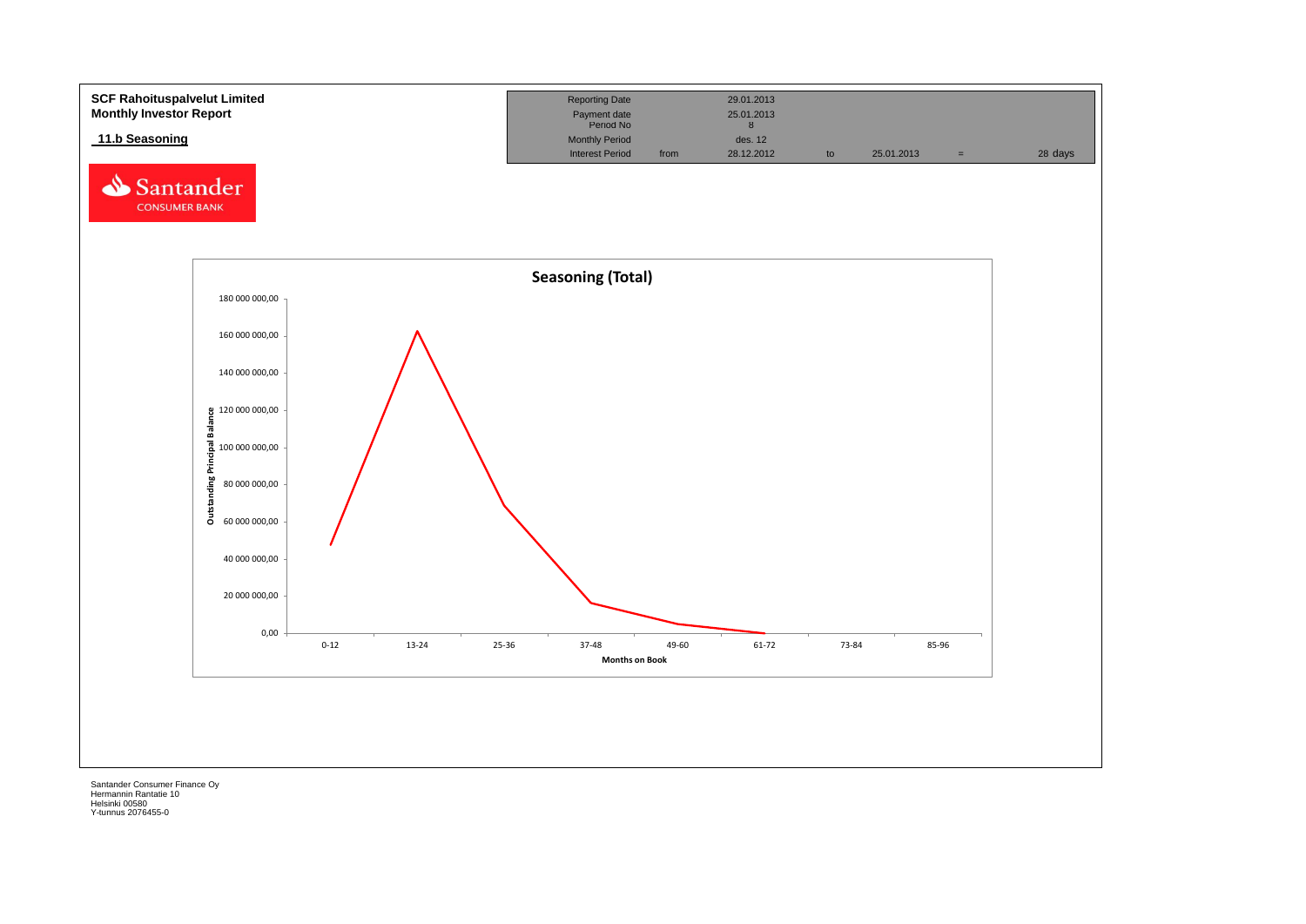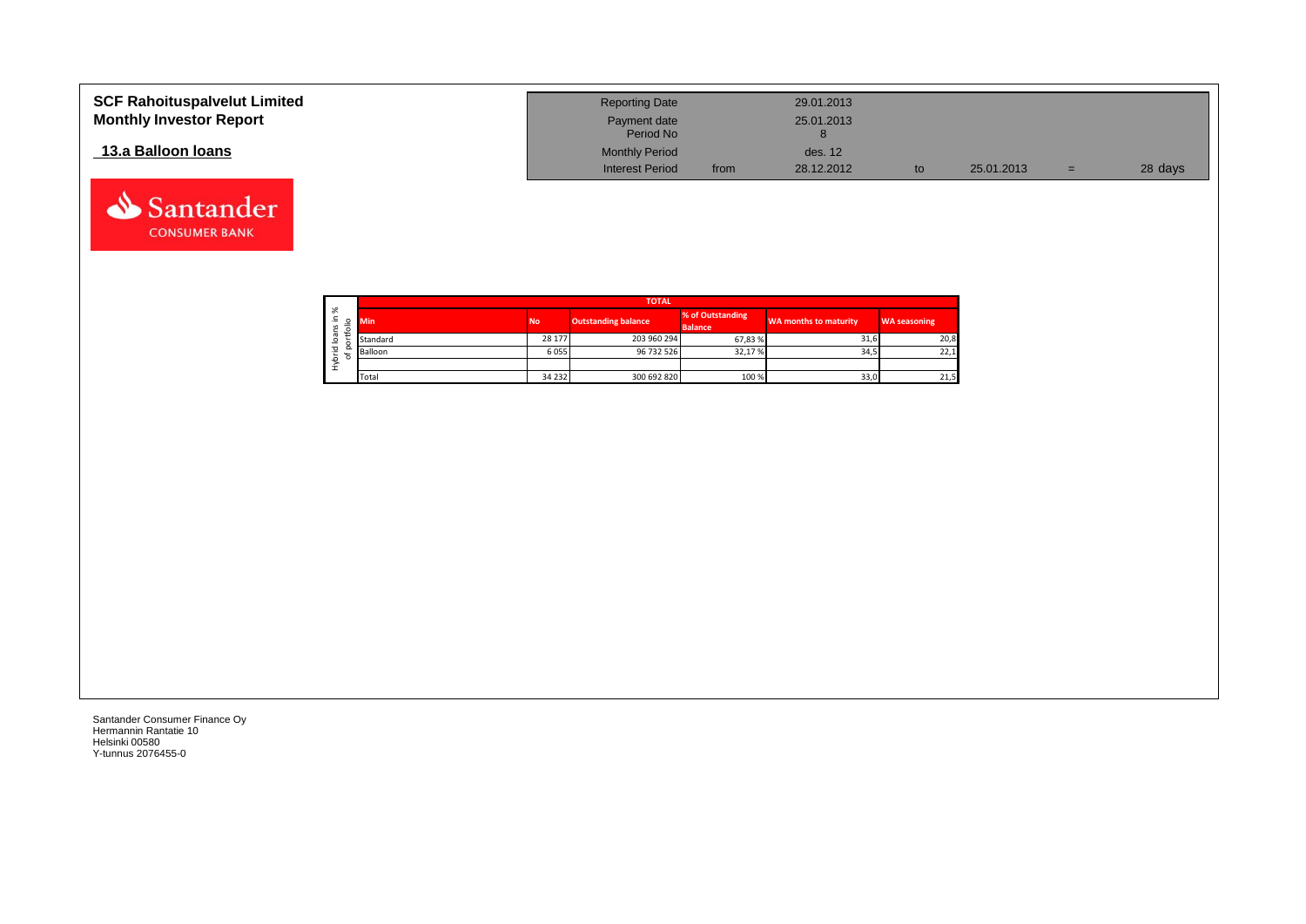| <b>SCF Rahoituspalvelut Limited</b><br><b>Monthly Investor Report</b> | <b>Reporting Date</b><br>Payment date<br>Period No |      | 29.01.2013<br>25.01.2013 |            |     |         |
|-----------------------------------------------------------------------|----------------------------------------------------|------|--------------------------|------------|-----|---------|
| 13.a Balloon Ioans                                                    | <b>Monthly Period</b>                              |      | des. 12                  |            |     |         |
|                                                                       | <b>Interest Period</b>                             | from | 28.12.2012               | 25.01.2013 | $=$ | 28 days |

┑

|                   |        |            |           | <b>TOTAL</b>               |                                    |                       |                     |
|-------------------|--------|------------|-----------|----------------------------|------------------------------------|-----------------------|---------------------|
| ৯<br>∸.<br>S<br>∽ | ۰      | <b>Min</b> | <b>No</b> | <b>Outstanding balance</b> | % of Outstanding<br><b>Balance</b> | WA months to maturity | <b>WA seasoning</b> |
| ത<br>∘            |        | Standard   | 28 177    | 203 960 294                | 67,83%                             | 31,6                  | 20,8                |
| 꼳                 | o<br>۰ | Balloon    | 6055      | 96 732 526                 | 32,17%                             | 34,5                  | 22,1                |
| ء<br>£            |        |            |           |                            |                                    |                       |                     |
|                   |        | Total      | 34 232    | 300 692 820                | 100 %                              | 33,0                  | 21,5                |

Santander Consumer Finance Oy Hermannin Rantatie 10 Helsinki 00580 Y-tunnus 2076455-0

Santander **CONSUMER BANK**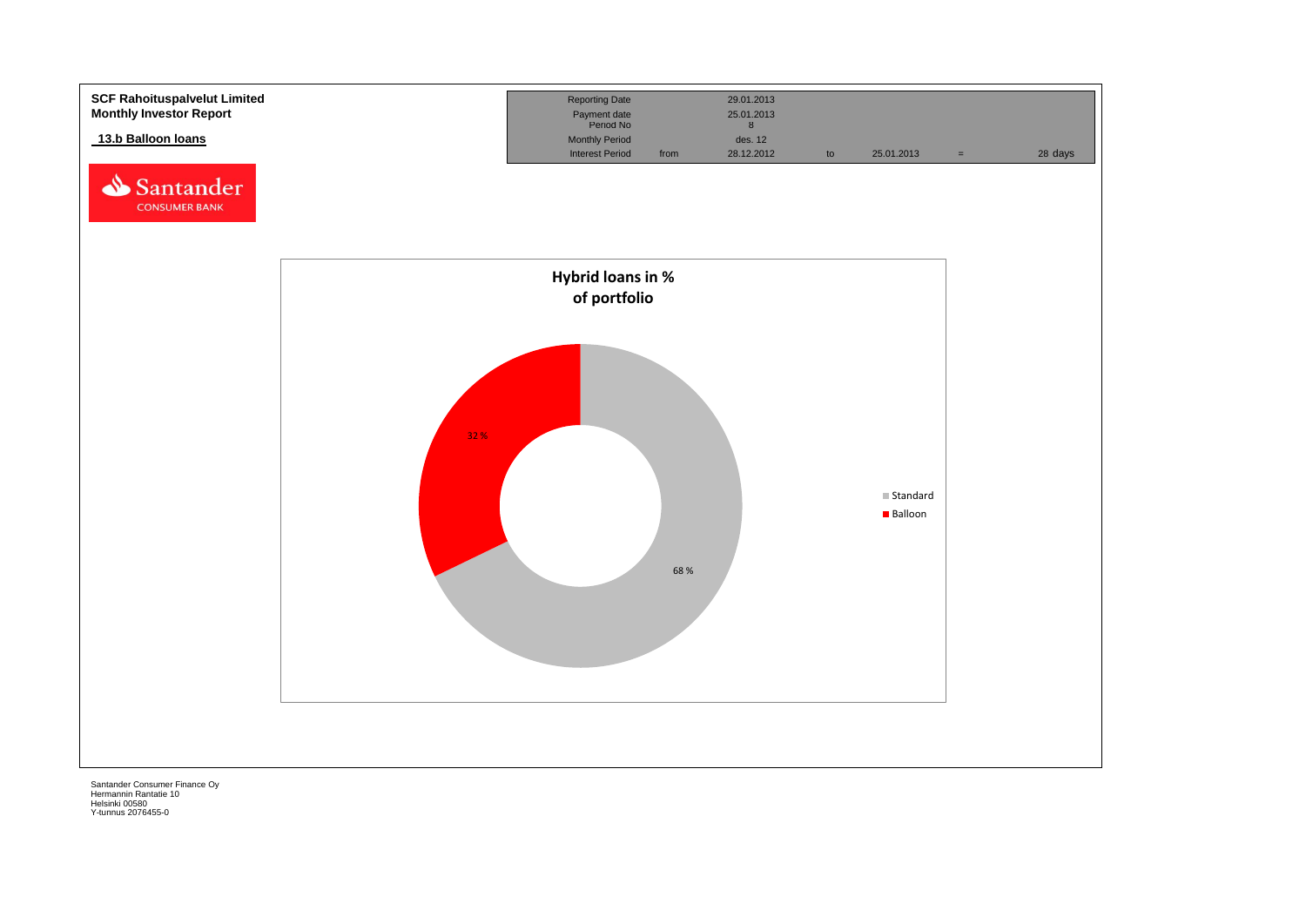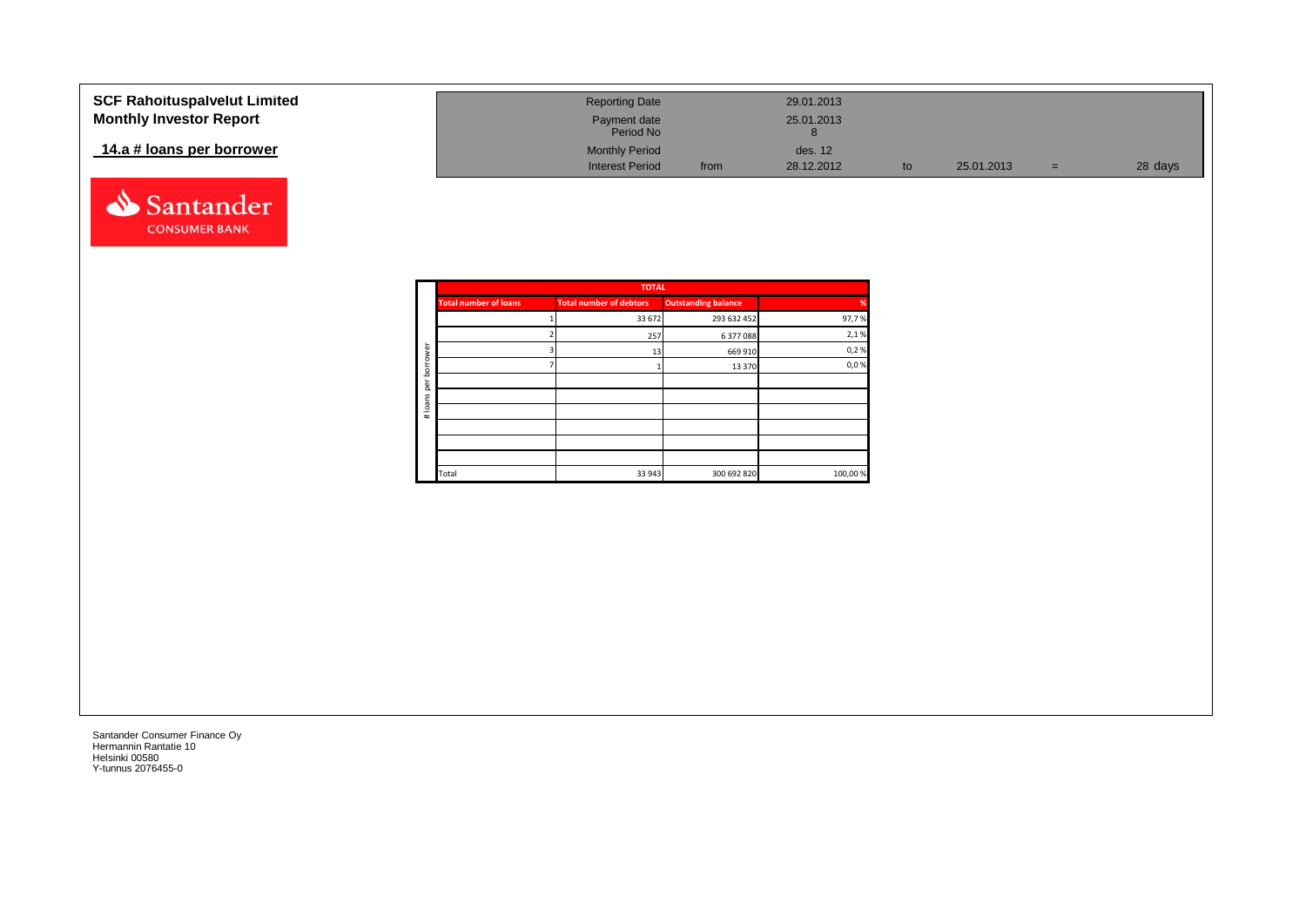| <b>SCF Rahoituspalvelut Limited</b> | <b>Reporting Date</b>     |      | 29.01.2013 |            |     |         |
|-------------------------------------|---------------------------|------|------------|------------|-----|---------|
| <b>Monthly Investor Report</b>      | Payment date<br>Period No |      | 25.01.2013 |            |     |         |
| 14.a # loans per borrower           | <b>Monthly Period</b>     |      | des. 12    |            |     |         |
|                                     | <b>Interest Period</b>    | from | 28.12.2012 | 25.01.2013 | $=$ | 28 days |



| <b>Outstanding balance</b> | <b>Total number of debtors</b>                | <b>Total number of loans</b>                  |            |
|----------------------------|-----------------------------------------------|-----------------------------------------------|------------|
| 293 632 452                |                                               |                                               |            |
|                            |                                               |                                               |            |
|                            |                                               |                                               | ā          |
|                            |                                               |                                               | row<br>bor |
|                            |                                               |                                               | per        |
|                            |                                               |                                               | loans      |
|                            |                                               |                                               | $\#$       |
|                            |                                               |                                               |            |
|                            |                                               |                                               |            |
|                            |                                               |                                               |            |
|                            |                                               | Total                                         |            |
|                            | 6 377 088<br>669 910<br>13 370<br>300 692 820 | <b>TOTAL</b><br>33 672<br>257<br>13<br>33 943 |            |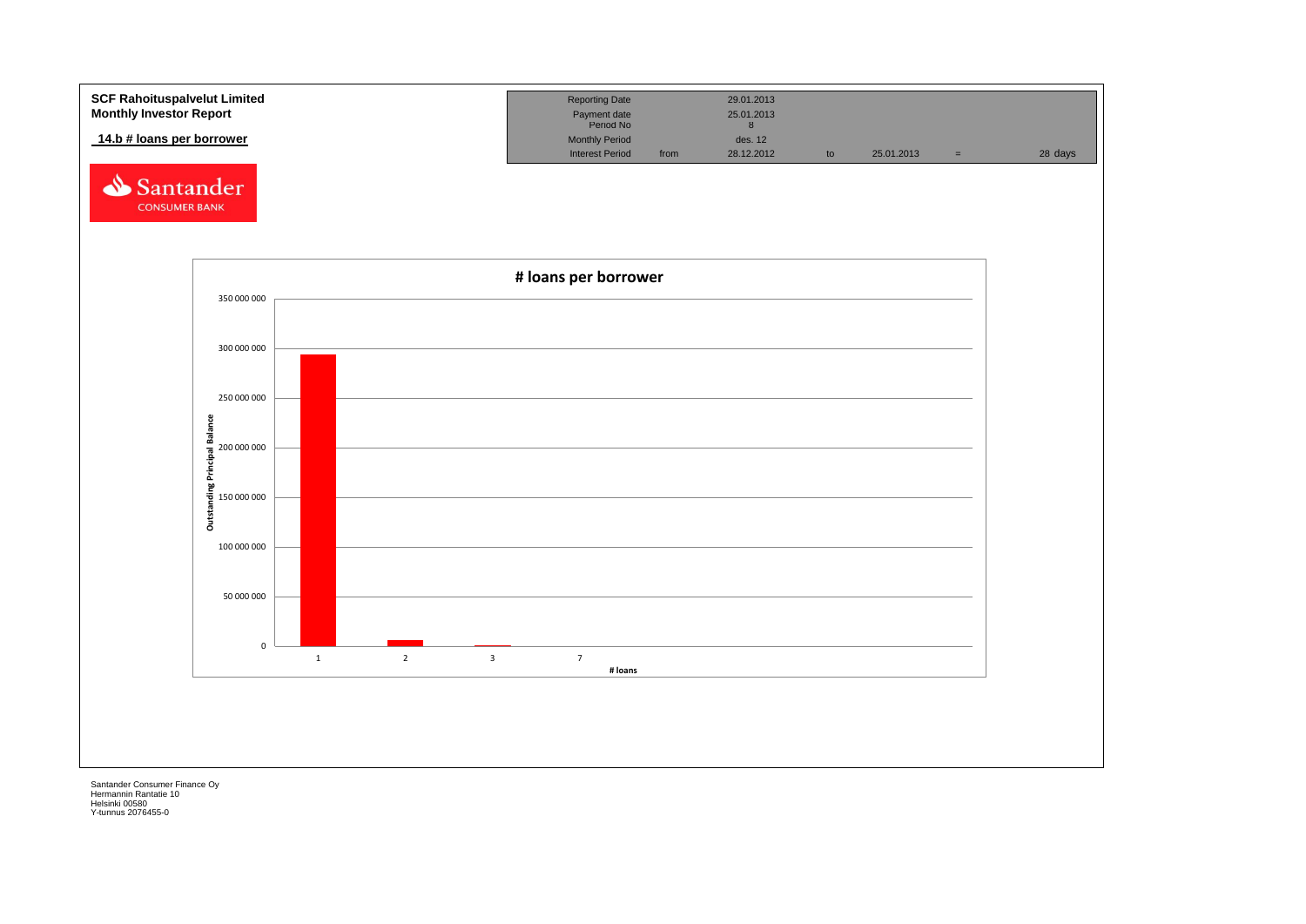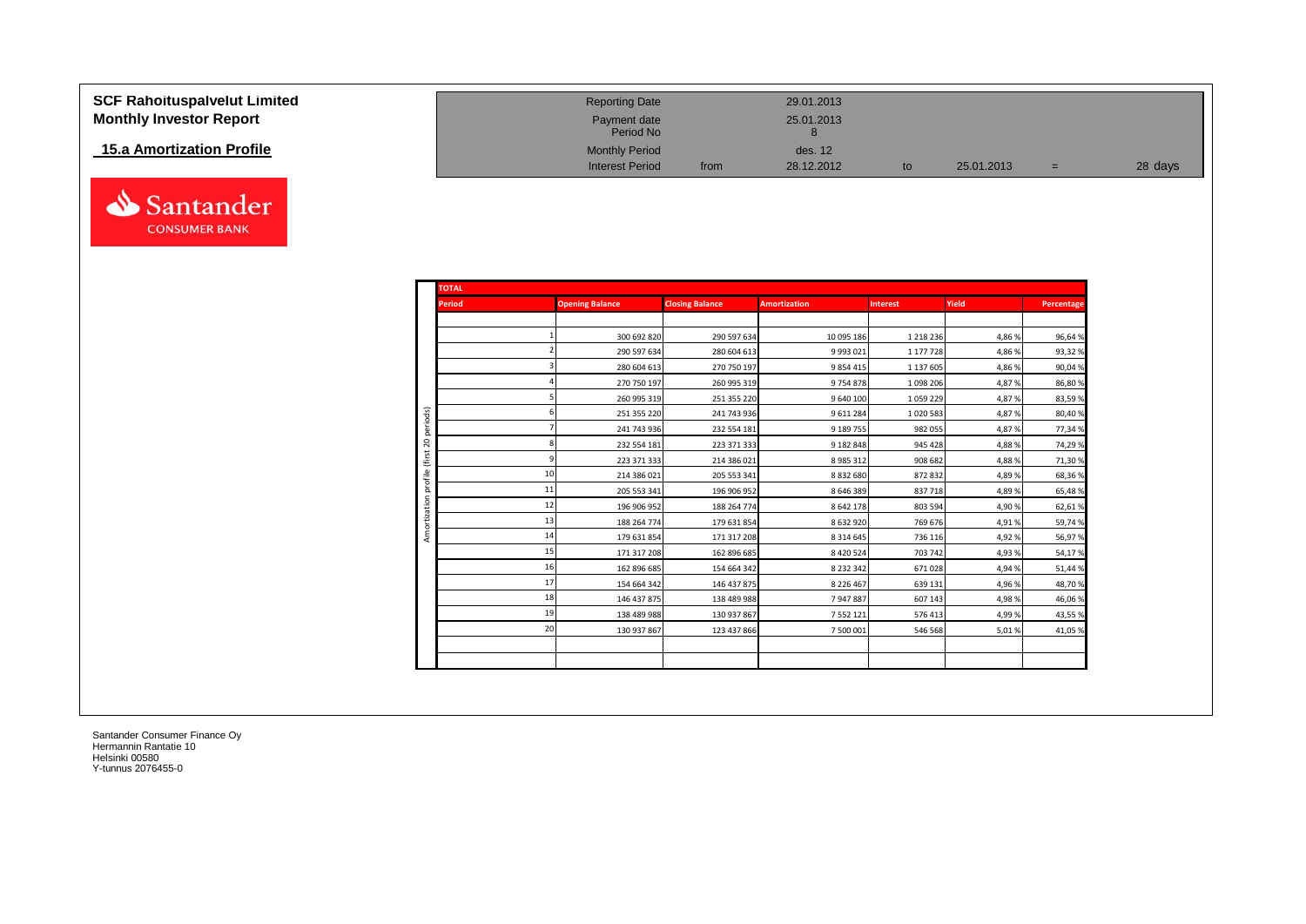| <b>SCF Rahoituspalvelut Limited</b><br><b>Monthly Investor Report</b> | <b>Reporting Date</b><br>Payment date |      | 29.01.2013<br>25.01.2013 |            |     |         |
|-----------------------------------------------------------------------|---------------------------------------|------|--------------------------|------------|-----|---------|
| 15.a Amortization Profile                                             | Period No<br><b>Monthly Period</b>    |      | des. 12                  |            |     |         |
|                                                                       | <b>Interest Period</b>                | from | 28.12.2012               | 25.01.2013 | $=$ | 28 days |

| <b>TOTAL</b>  |                        |                        |                     |                 |        |            |
|---------------|------------------------|------------------------|---------------------|-----------------|--------|------------|
| <b>Period</b> | <b>Opening Balance</b> | <b>Closing Balance</b> | <b>Amortization</b> | <b>Interest</b> | Yield  | Percentage |
|               |                        |                        |                     |                 |        |            |
|               | 300 692 820            | 290 597 634            | 10 095 186          | 1 2 1 8 2 3 6   | 4,86 % | 96,64%     |
|               | 290 597 634            | 280 604 613            | 9 9 9 3 0 2 1       | 1 177 728       | 4,86 % | 93,32%     |
|               | 280 604 613            | 270 750 197            | 9854415             | 1 137 605       | 4,86%  | 90,04%     |
|               | 270 750 197            | 260 995 319            | 9754878             | 1 098 206       | 4,87%  | 86,80%     |
|               | 260 995 319            | 251 355 220            | 9 640 100           | 1059229         | 4,87%  | 83,59%     |
| iods)         | 251 355 220            | 241 743 936            | 9611284             | 1 0 20 5 83     | 4,87%  | 80,40%     |
|               | 241 743 936            | 232 554 181            | 9 189 755           | 982 055         | 4,87%  | 77,34%     |
| 20<br>(first  | 232 554 181            | 223 371 333            | 9 182 848           | 945 428         | 4,88%  | 74,29%     |
|               | 223 371 333            | 214 386 021            | 8 9 8 5 3 1 2       | 908 682         | 4,88%  | 71,30%     |
| 10            | 214 386 021            | 205 553 341            | 8832680             | 872 832         | 4,89%  | 68,36%     |
| 11            | 205 553 341            | 196 906 952            | 8646389             | 837 718         | 4,89%  | 65,48%     |
| 12            | 196 906 952            | 188 264 774            | 8642178             | 803 594         | 4,90%  | 62,61%     |
| 13            | 188 264 774            | 179 631 854            | 8 6 3 2 9 2 0       | 769 676         | 4,91%  | 59,74%     |
| 14            | 179 631 854            | 171 317 208            | 8 3 1 4 6 4 5       | 736 116         | 4,92%  | 56,97%     |
| 15            | 171 317 208            | 162 896 685            | 8 4 2 0 5 2 4       | 703 742         | 4,93%  | 54,17%     |
| 16            | 162 896 685            | 154 664 342            | 8 2 3 2 3 4 2       | 671 028         | 4,94%  | 51,44%     |
| 17            | 154 664 342            | 146 437 875            | 8 2 2 6 4 6 7       | 639 131         | 4,96%  | 48,70%     |
| 18            | 146 437 875            | 138 489 988            | 7947887             | 607 143         | 4,98%  | 46,06%     |
| 19            | 138 489 988            | 130 937 867            | 7 5 5 2 1 2 1       | 576 413         | 4,99%  | 43,55%     |
| 20            | 130 937 867            | 123 437 866            | 7 500 001           | 546 568         | 5,01%  | 41,05%     |

Santander **CONSUMER BANK**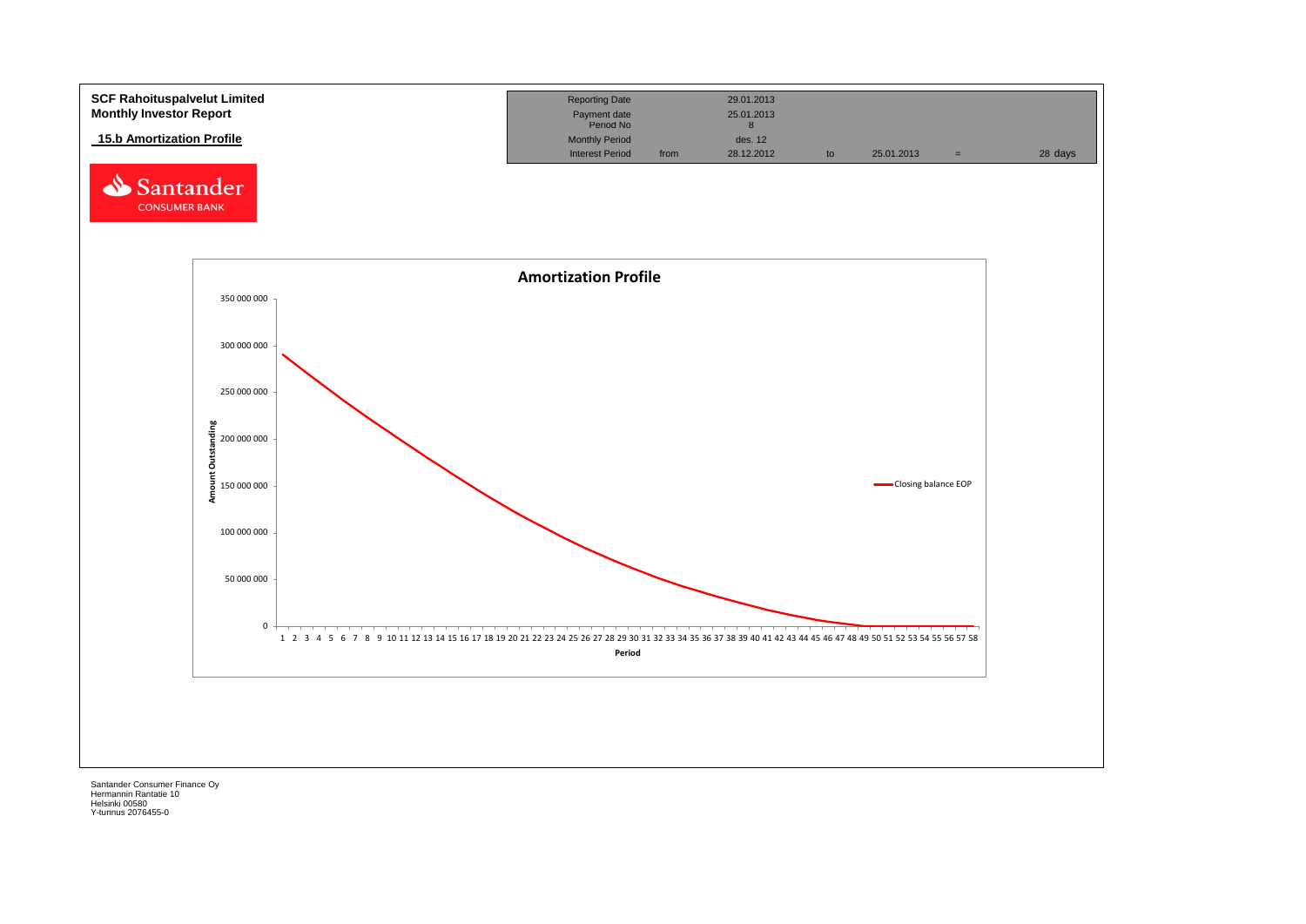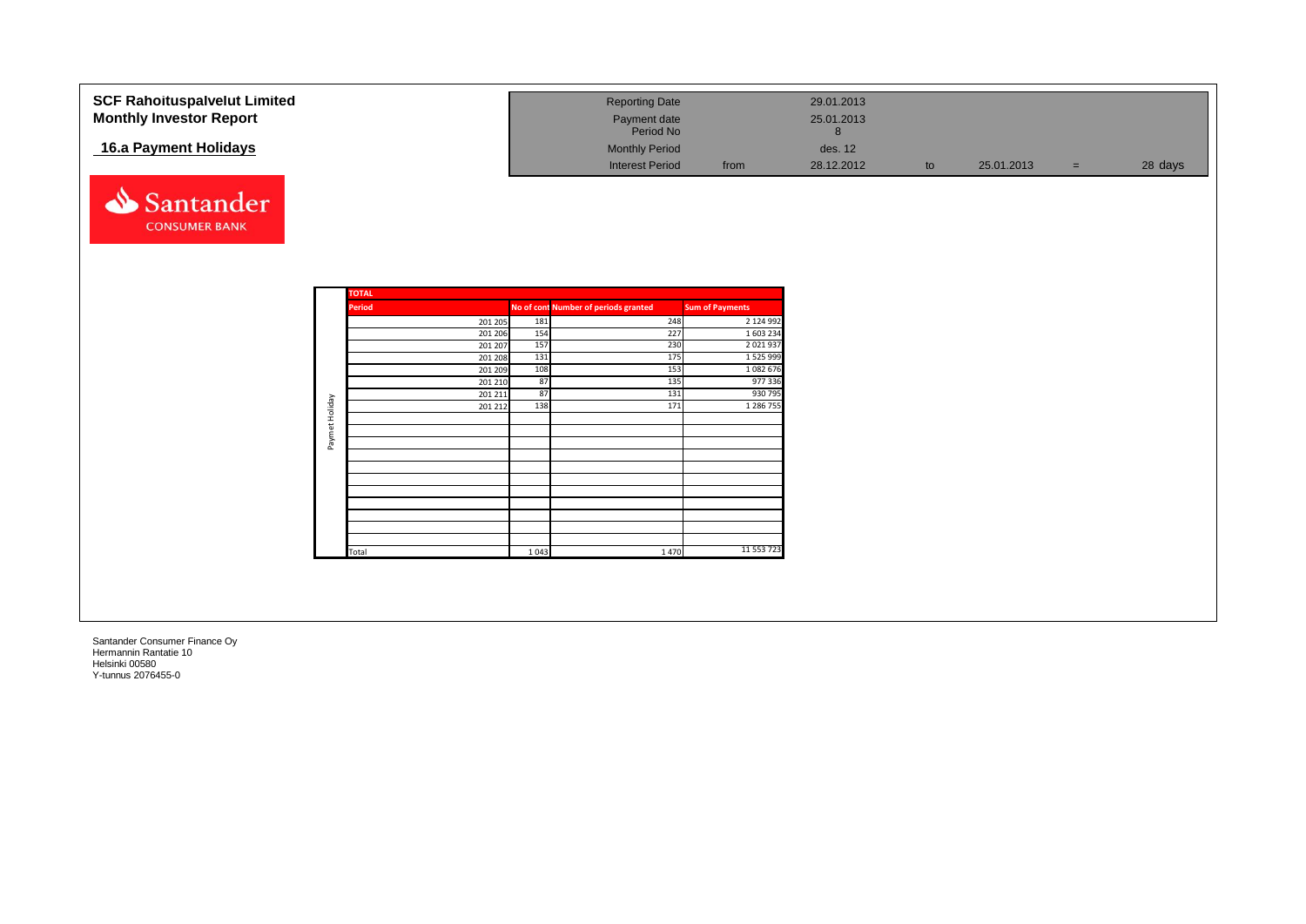| <b>SCF Rahoituspalvelut Limited</b><br><b>Monthly Investor Report</b><br>16.a Payment Holidays<br>Santander |                |                                                                                      |                                                    | <b>Reporting Date</b><br>Payment date<br>Period No<br><b>Monthly Period</b><br><b>Interest Period</b> | from                                                                                                       | 29.01.2013<br>25.01.2013<br>8<br>des. 12<br>28.12.2012 | to | 25.01.2013 | $=$ | 28 days |
|-------------------------------------------------------------------------------------------------------------|----------------|--------------------------------------------------------------------------------------|----------------------------------------------------|-------------------------------------------------------------------------------------------------------|------------------------------------------------------------------------------------------------------------|--------------------------------------------------------|----|------------|-----|---------|
| <b>CONSUMER BANK</b>                                                                                        |                | <b>TOTAL</b><br>Period                                                               |                                                    | No of cont Number of periods granted                                                                  | <b>Sum of Payments</b>                                                                                     |                                                        |    |            |     |         |
|                                                                                                             |                | 201 205<br>201 206<br>201 207<br>201 208<br>201 209<br>201 210<br>201 211<br>201 212 | 181<br>154<br>157<br>131<br>108<br>87<br>87<br>138 | 248<br>227<br>230<br>175<br>153<br>135<br>131<br>171                                                  | 2 124 992<br>1 603 234<br>2 0 2 1 9 3<br>1 5 2 5 9 9 9<br>1 0 8 2 6 7 6<br>977 336<br>930 795<br>1 286 755 |                                                        |    |            |     |         |
|                                                                                                             | Paymet Holiday |                                                                                      |                                                    |                                                                                                       |                                                                                                            |                                                        |    |            |     |         |
|                                                                                                             |                | Total                                                                                | 1043                                               | 1470                                                                                                  | 11 553 723                                                                                                 |                                                        |    |            |     |         |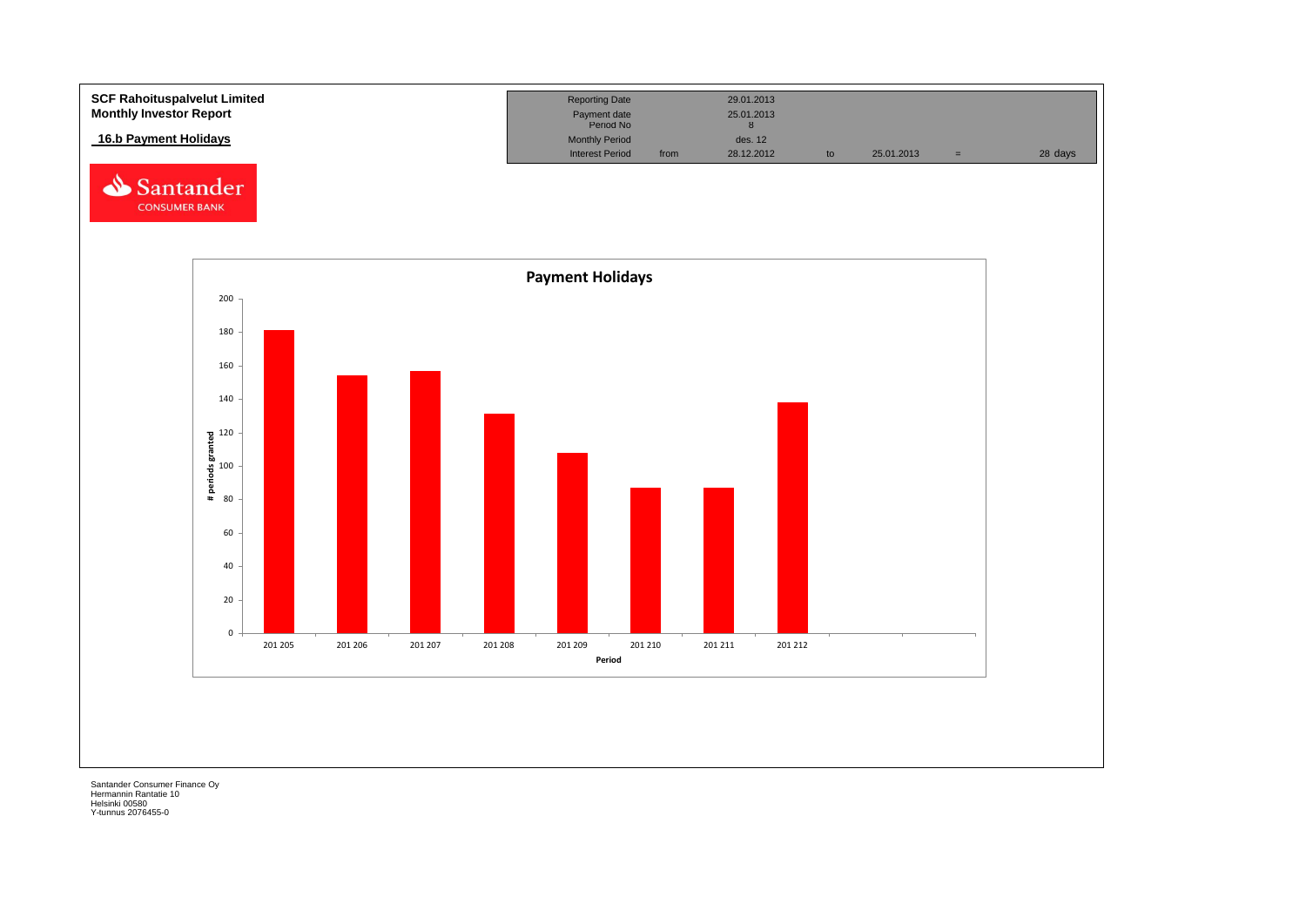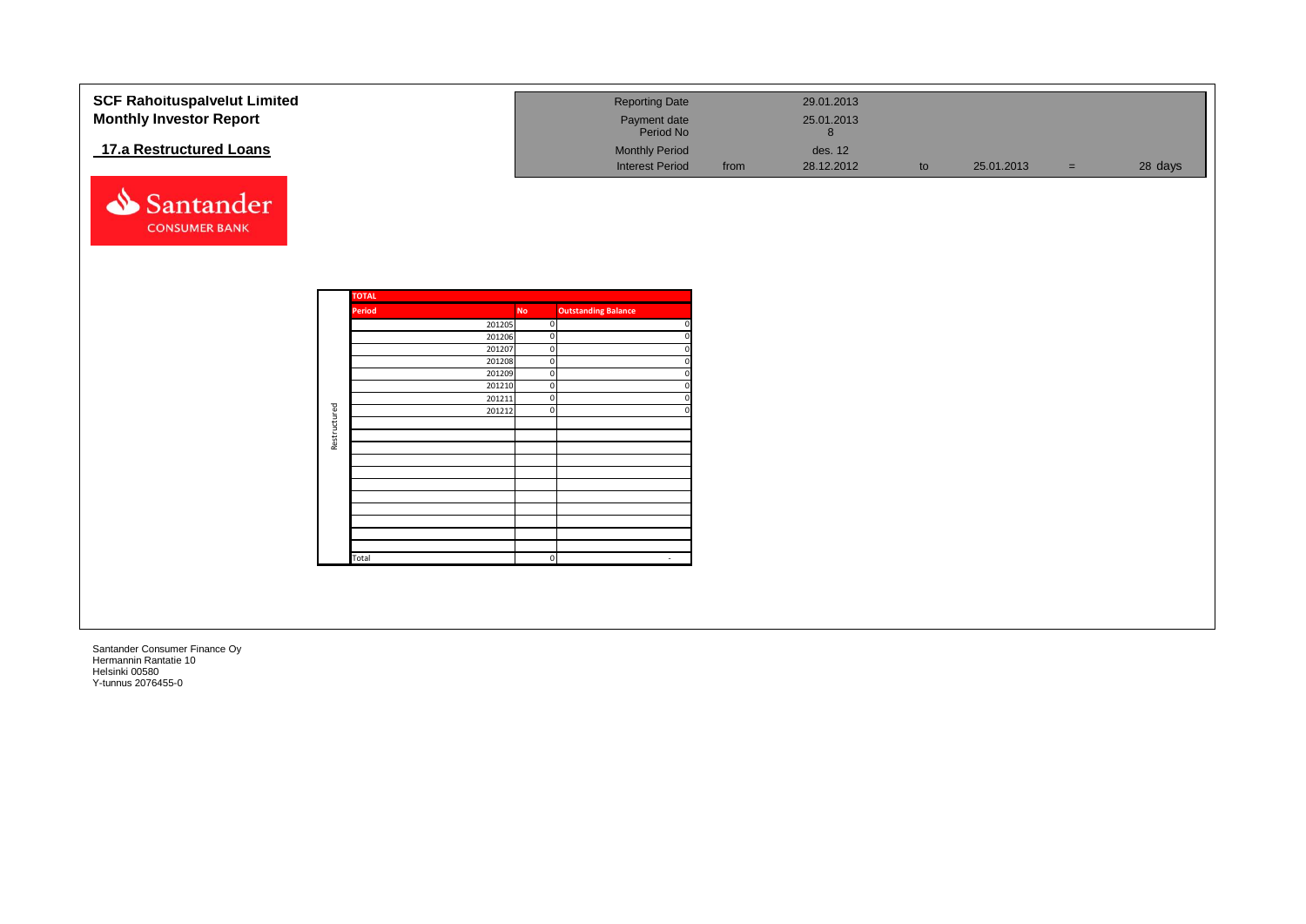| <b>SCF Rahoituspalvelut Limited</b> |              |              |                  |           | <b>Reporting Date</b>          |      | 29.01.2013 |    |            |     |         |
|-------------------------------------|--------------|--------------|------------------|-----------|--------------------------------|------|------------|----|------------|-----|---------|
| <b>Monthly Investor Report</b>      |              |              |                  |           | Payment date                   |      | 25.01.2013 |    |            |     |         |
|                                     |              |              |                  |           | Period No                      |      | $\bf{8}$   |    |            |     |         |
| 17.a Restructured Loans             |              |              |                  |           | <b>Monthly Period</b>          |      | des. 12    |    |            |     |         |
|                                     |              |              |                  |           | <b>Interest Period</b>         | from | 28.12.2012 | to | 25.01.2013 | $=$ | 28 days |
|                                     |              |              |                  |           |                                |      |            |    |            |     |         |
|                                     |              |              |                  |           |                                |      |            |    |            |     |         |
| ⇘<br>Santander                      |              |              |                  |           |                                |      |            |    |            |     |         |
| <b>CONSUMER BANK</b>                |              |              |                  |           |                                |      |            |    |            |     |         |
|                                     |              |              |                  |           |                                |      |            |    |            |     |         |
|                                     |              |              |                  |           |                                |      |            |    |            |     |         |
|                                     |              |              |                  |           |                                |      |            |    |            |     |         |
|                                     |              |              |                  |           |                                |      |            |    |            |     |         |
|                                     |              | <b>TOTAL</b> |                  |           |                                |      |            |    |            |     |         |
|                                     |              | Period       |                  | <b>No</b> | <b>Outstanding Balance</b>     |      |            |    |            |     |         |
|                                     |              |              | 201205<br>201206 |           | $\mathbf 0$                    |      |            |    |            |     |         |
|                                     |              |              | 201207           |           | $\mathbf 0$<br>$\mathbf 0$     |      |            |    |            |     |         |
|                                     |              |              | 201208           |           | $\mathbf 0$                    |      |            |    |            |     |         |
|                                     |              |              | 201209           |           | $\mathbf 0$                    |      |            |    |            |     |         |
|                                     |              |              | 201210           |           | $\overline{0}$                 |      |            |    |            |     |         |
|                                     |              |              | 201211<br>201212 |           | $\overline{0}$<br>$\mathbf{0}$ |      |            |    |            |     |         |
|                                     | Restructured |              |                  |           |                                |      |            |    |            |     |         |
|                                     |              |              |                  |           |                                |      |            |    |            |     |         |
|                                     |              |              |                  |           |                                |      |            |    |            |     |         |
|                                     |              |              |                  |           |                                |      |            |    |            |     |         |
|                                     |              |              |                  |           |                                |      |            |    |            |     |         |
|                                     |              |              |                  |           |                                |      |            |    |            |     |         |
|                                     |              |              |                  |           |                                |      |            |    |            |     |         |
|                                     |              |              |                  |           |                                |      |            |    |            |     |         |
|                                     |              |              |                  |           |                                |      |            |    |            |     |         |
|                                     |              | Total        |                  |           | $\overline{0}$<br>$\sim$       |      |            |    |            |     |         |
|                                     |              |              |                  |           |                                |      |            |    |            |     |         |
|                                     |              |              |                  |           |                                |      |            |    |            |     |         |
|                                     |              |              |                  |           |                                |      |            |    |            |     |         |
|                                     |              |              |                  |           |                                |      |            |    |            |     |         |
|                                     |              |              |                  |           |                                |      |            |    |            |     |         |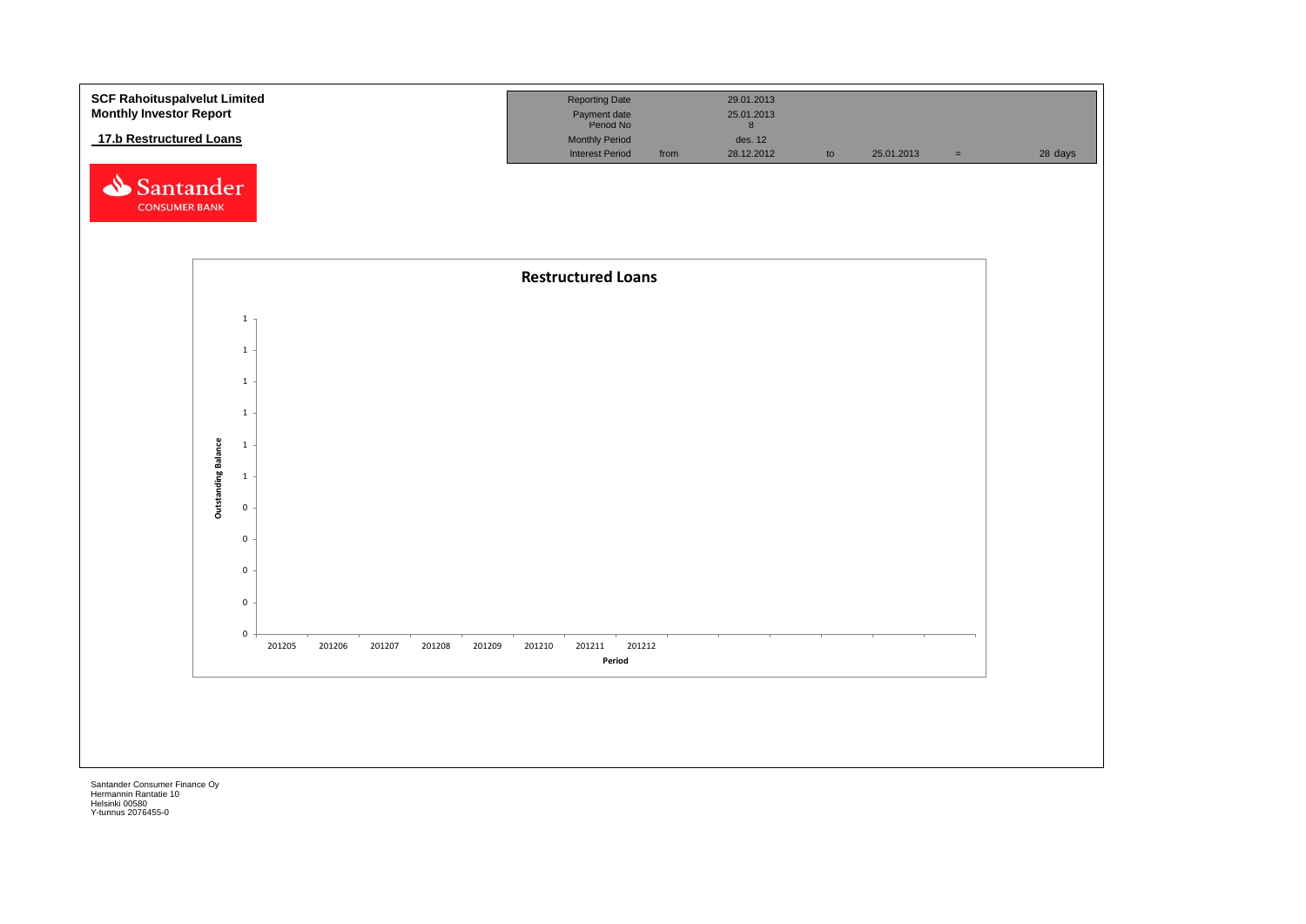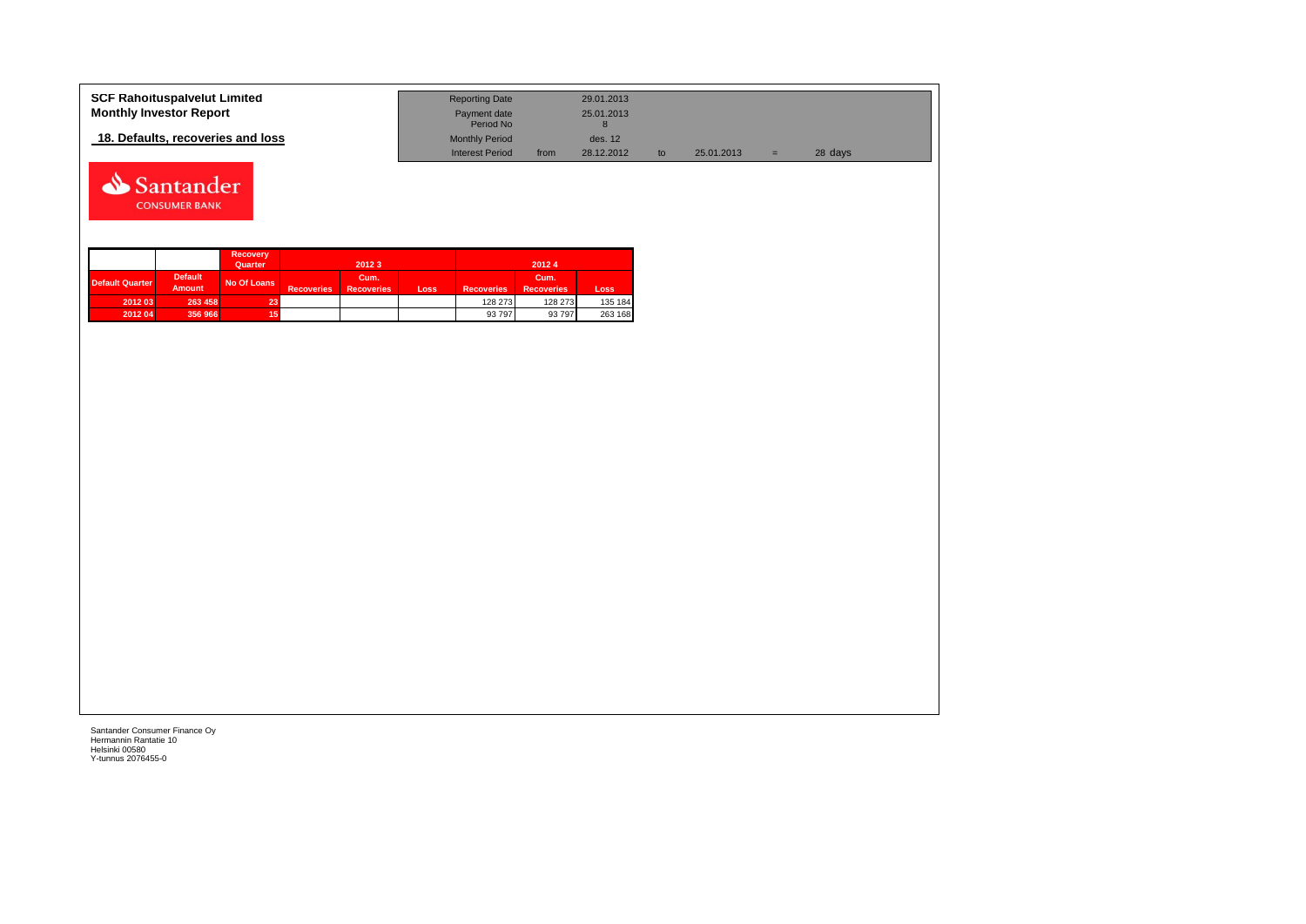| <b>SCF Rahoituspalvelut Limited</b> | <b>Reporting Date</b>     |      | 29.01.2013 |            |   |         |  |
|-------------------------------------|---------------------------|------|------------|------------|---|---------|--|
| <b>Monthly Investor Report</b>      | Payment date<br>Period No |      | 25.01.2013 |            |   |         |  |
| 18. Defaults, recoveries and loss   | <b>Monthly Period</b>     |      | des. 12    |            |   |         |  |
|                                     | <b>Interest Period</b>    | from | 28.12.2012 | 25.01.2013 | = | 28 days |  |



|                 |                                 | <b>Recovery</b><br>Quarter |                   | 2012 3                    |      |                   | 20124                     |         |
|-----------------|---------------------------------|----------------------------|-------------------|---------------------------|------|-------------------|---------------------------|---------|
| Default Quarter | <b>Default</b><br><b>Amount</b> | No Of Loans                | <b>Recoveries</b> | Cum.<br><b>Recoveries</b> | Loss | <b>Recoveries</b> | Cum.<br><b>Recoveries</b> | Loss    |
| 2012 03         | 263 458                         | 23.                        |                   |                           |      | 128 273           | 128 273                   | 135 184 |
| 2012 04         | 356 966                         |                            |                   |                           |      | 93 797            | 93 797                    | 263 168 |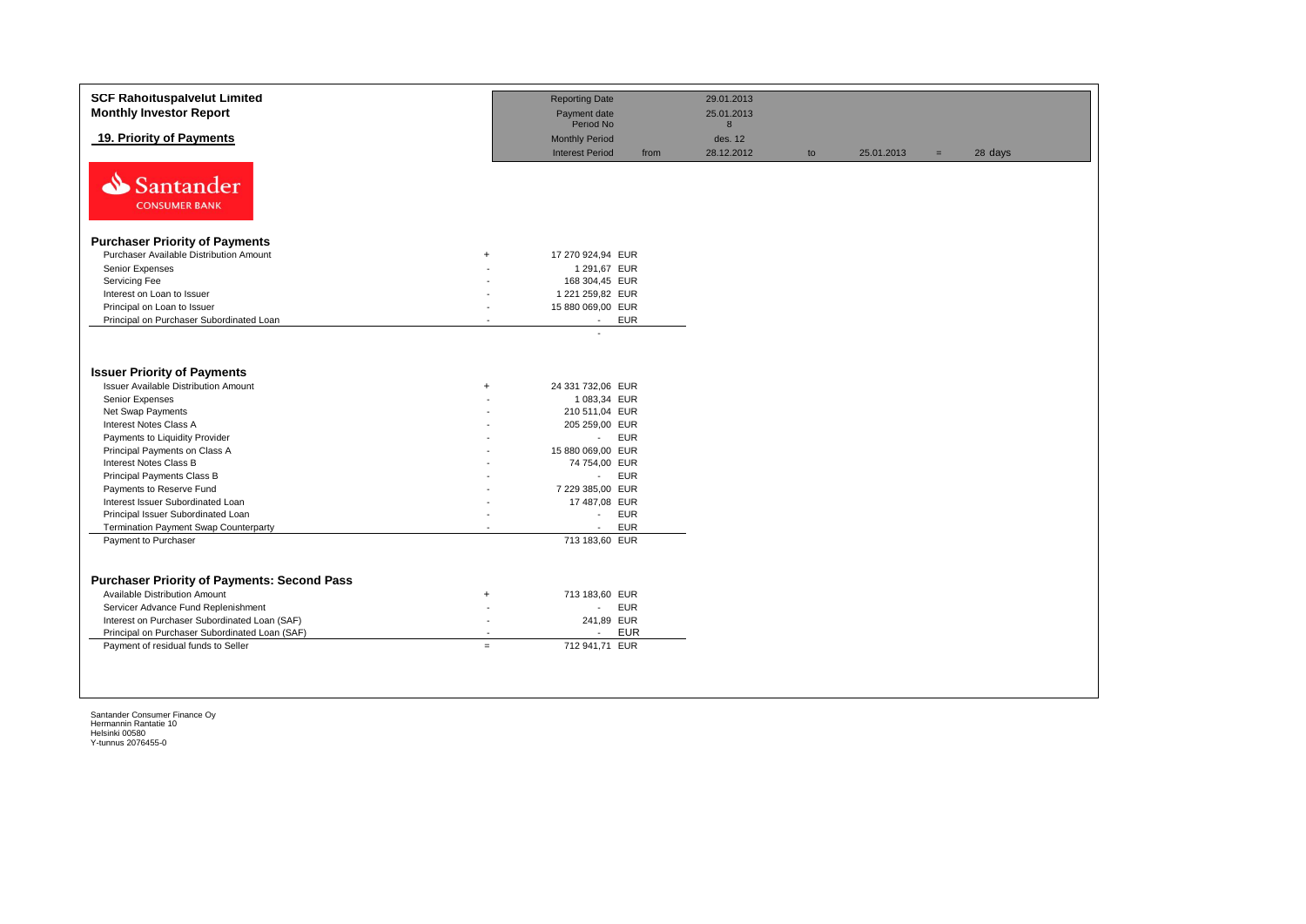| <b>SCF Rahoituspalvelut Limited</b><br><b>Monthly Investor Report</b>   |           | <b>Reporting Date</b><br>Payment date           |            | 29.01.2013<br>25.01.2013 |    |            |     |         |
|-------------------------------------------------------------------------|-----------|-------------------------------------------------|------------|--------------------------|----|------------|-----|---------|
|                                                                         |           | Period No                                       |            | 8                        |    |            |     |         |
| 19. Priority of Payments                                                |           | <b>Monthly Period</b><br><b>Interest Period</b> | from       | des. 12<br>28.12.2012    | to | 25.01.2013 | $=$ | 28 days |
| Santander<br><b>CONSUMER BANK</b>                                       |           |                                                 |            |                          |    |            |     |         |
| <b>Purchaser Priority of Payments</b>                                   |           |                                                 |            |                          |    |            |     |         |
| Purchaser Available Distribution Amount                                 | $\ddot{}$ | 17 270 924,94 EUR                               |            |                          |    |            |     |         |
| Senior Expenses                                                         |           | 1 291,67 EUR                                    |            |                          |    |            |     |         |
| Servicing Fee                                                           |           | 168 304,45 EUR                                  |            |                          |    |            |     |         |
| Interest on Loan to Issuer                                              |           | 1 221 259,82 EUR                                |            |                          |    |            |     |         |
| Principal on Loan to Issuer                                             |           | 15 880 069,00 EUR                               |            |                          |    |            |     |         |
| Principal on Purchaser Subordinated Loan                                |           | $\sim$                                          | <b>EUR</b> |                          |    |            |     |         |
| <b>Issuer Priority of Payments</b>                                      |           |                                                 |            |                          |    |            |     |         |
| <b>Issuer Available Distribution Amount</b>                             | $\ddot{}$ | 24 331 732,06 EUR                               |            |                          |    |            |     |         |
| Senior Expenses                                                         |           | 1 083,34 EUR                                    |            |                          |    |            |     |         |
| Net Swap Payments                                                       |           | 210 511,04 EUR                                  |            |                          |    |            |     |         |
| Interest Notes Class A                                                  |           | 205 259,00 EUR                                  |            |                          |    |            |     |         |
| Payments to Liquidity Provider                                          |           | $\sim$                                          | <b>EUR</b> |                          |    |            |     |         |
| Principal Payments on Class A                                           |           | 15 880 069,00 EUR                               |            |                          |    |            |     |         |
| Interest Notes Class B                                                  |           | 74 754,00 EUR                                   |            |                          |    |            |     |         |
| Principal Payments Class B                                              |           | $\omega_{\rm{eff}}$                             | <b>EUR</b> |                          |    |            |     |         |
| Payments to Reserve Fund                                                |           | 7 229 385,00 EUR                                |            |                          |    |            |     |         |
| Interest Issuer Subordinated Loan<br>Principal Issuer Subordinated Loan |           | 17 487,08 EUR<br>$\mathcal{L}_{\mathcal{A}}$    | <b>EUR</b> |                          |    |            |     |         |
| Termination Payment Swap Counterparty                                   |           | $\sim$                                          | <b>EUR</b> |                          |    |            |     |         |
| Payment to Purchaser                                                    |           | 713 183,60 EUR                                  |            |                          |    |            |     |         |
|                                                                         |           |                                                 |            |                          |    |            |     |         |
| <b>Purchaser Priority of Payments: Second Pass</b>                      |           |                                                 |            |                          |    |            |     |         |
| <b>Available Distribution Amount</b>                                    | $\ddot{}$ | 713 183,60 EUR                                  |            |                          |    |            |     |         |
| Servicer Advance Fund Replenishment                                     |           | $\mathcal{L}_{\mathcal{A}}$                     | <b>EUR</b> |                          |    |            |     |         |
| Interest on Purchaser Subordinated Loan (SAF)                           |           | 241,89 EUR                                      |            |                          |    |            |     |         |
| Principal on Purchaser Subordinated Loan (SAF)                          |           | $\overline{a}$                                  | <b>EUR</b> |                          |    |            |     |         |
| Payment of residual funds to Seller                                     | $=$       | 712 941,71 EUR                                  |            |                          |    |            |     |         |
|                                                                         |           |                                                 |            |                          |    |            |     |         |
|                                                                         |           |                                                 |            |                          |    |            |     |         |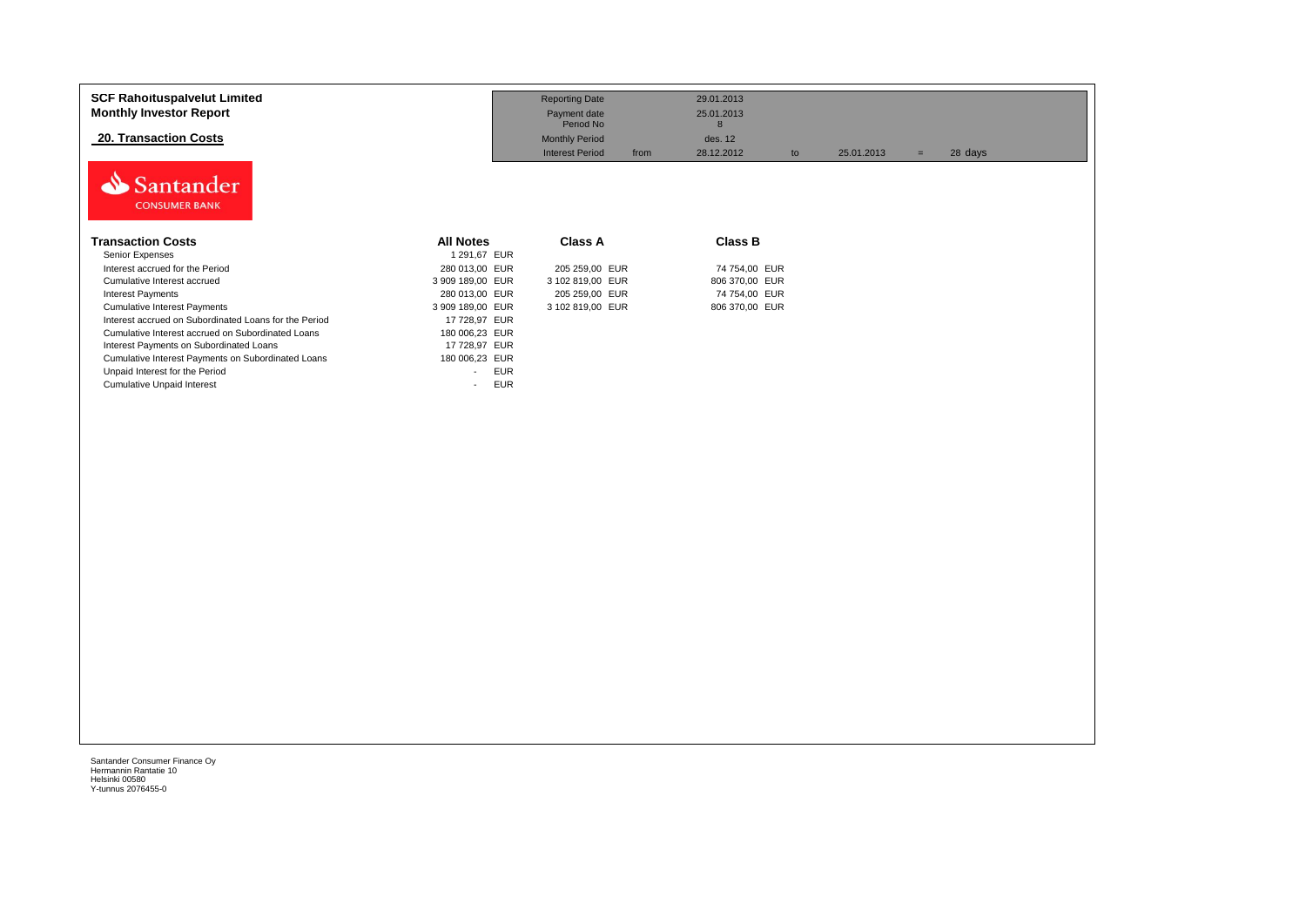| <b>SCF Rahoituspalvelut Limited</b><br><b>Monthly Investor Report</b> |                      | <b>Reporting Date</b><br>Payment date<br>Period No |      | 29.01.2013<br>25.01.2013<br>8 |    |            |     |         |
|-----------------------------------------------------------------------|----------------------|----------------------------------------------------|------|-------------------------------|----|------------|-----|---------|
| <b>20. Transaction Costs</b>                                          |                      | <b>Monthly Period</b>                              |      | des. 12                       |    |            |     |         |
|                                                                       |                      | <b>Interest Period</b>                             | from | 28.12.2012                    | to | 25.01.2013 | $=$ | 28 days |
| Santander<br><b>CONSUMER BANK</b>                                     |                      |                                                    |      |                               |    |            |     |         |
| <b>Transaction Costs</b>                                              | <b>All Notes</b>     | <b>Class A</b>                                     |      | <b>Class B</b>                |    |            |     |         |
| Senior Expenses                                                       | 1 291,67 EUR         |                                                    |      |                               |    |            |     |         |
| Interest accrued for the Period                                       | 280 013,00 EUR       | 205 259,00 EUR                                     |      | 74 754,00 EUR                 |    |            |     |         |
| Cumulative Interest accrued                                           | 3 909 189,00 EUR     | 3 102 819,00 EUR                                   |      | 806 370,00 EUR                |    |            |     |         |
| <b>Interest Payments</b>                                              | 280 013,00 EUR       | 205 259,00 EUR                                     |      | 74 754,00 EUR                 |    |            |     |         |
| <b>Cumulative Interest Payments</b>                                   | 3 909 189,00 EUR     | 3 102 819,00 EUR                                   |      | 806 370,00 EUR                |    |            |     |         |
| Interest accrued on Subordinated Loans for the Period                 | 17 728,97 EUR        |                                                    |      |                               |    |            |     |         |
| Cumulative Interest accrued on Subordinated Loans                     | 180 006,23 EUR       |                                                    |      |                               |    |            |     |         |
| Interest Payments on Subordinated Loans                               | 17 728,97 EUR        |                                                    |      |                               |    |            |     |         |
| Cumulative Interest Payments on Subordinated Loans                    | 180 006,23 EUR       |                                                    |      |                               |    |            |     |         |
| Unpaid Interest for the Period                                        | <b>EUR</b><br>$\sim$ |                                                    |      |                               |    |            |     |         |
| <b>Cumulative Unpaid Interest</b>                                     | <b>EUR</b><br>$\sim$ |                                                    |      |                               |    |            |     |         |
|                                                                       |                      |                                                    |      |                               |    |            |     |         |
|                                                                       |                      |                                                    |      |                               |    |            |     |         |
|                                                                       |                      |                                                    |      |                               |    |            |     |         |
|                                                                       |                      |                                                    |      |                               |    |            |     |         |
|                                                                       |                      |                                                    |      |                               |    |            |     |         |
|                                                                       |                      |                                                    |      |                               |    |            |     |         |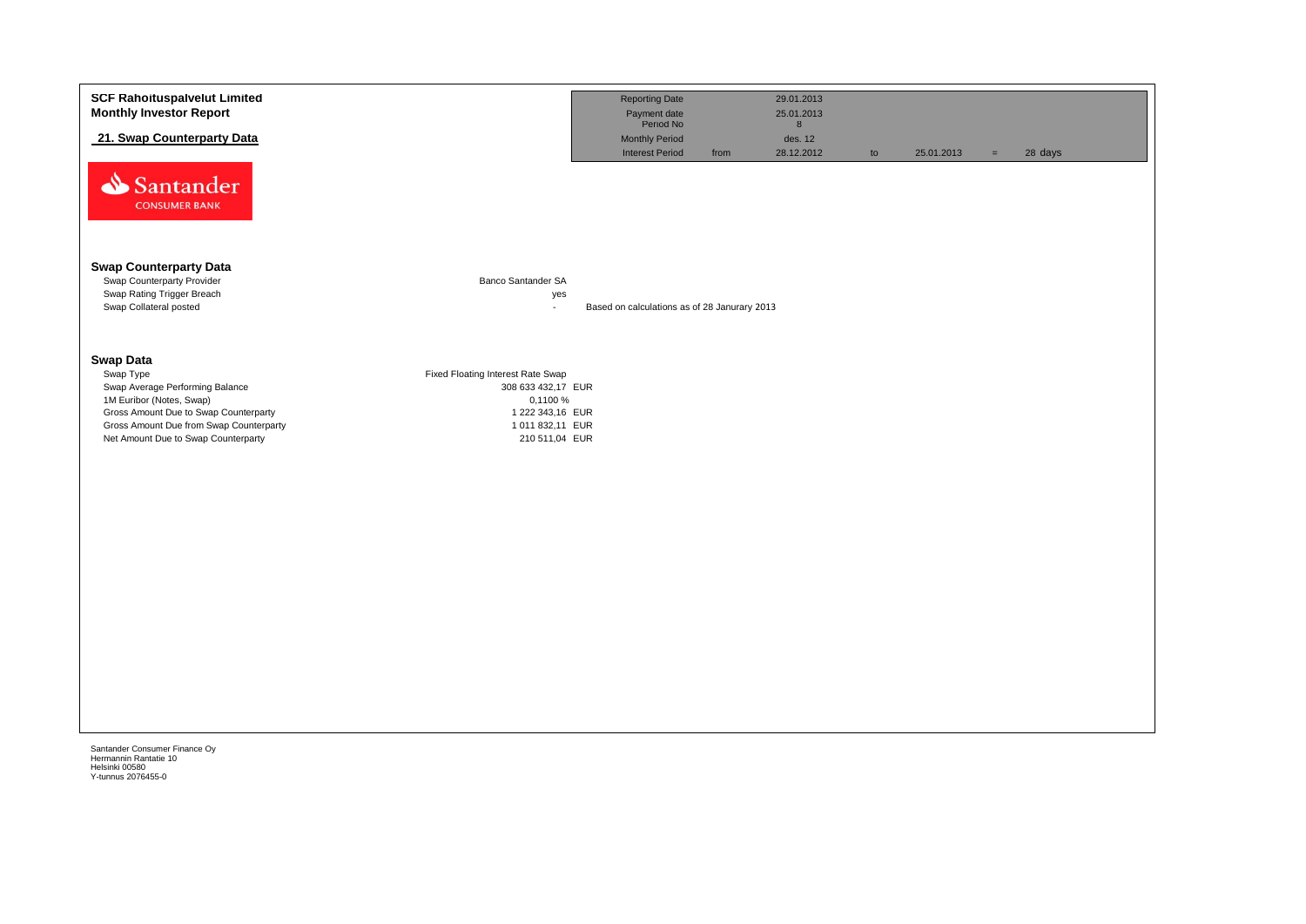| 21. Swap Counterparty Data<br>Santander<br><b>CONSUMER BANK</b>                                                                                                                                                                                                                                                                                          | Payment date<br>Period No<br><b>Monthly Period</b><br><b>Interest Period</b> | from | 8<br>des. 12<br>28.12.2012 | to | 25.01.2013 | 28 days<br>$=$ |  |
|----------------------------------------------------------------------------------------------------------------------------------------------------------------------------------------------------------------------------------------------------------------------------------------------------------------------------------------------------------|------------------------------------------------------------------------------|------|----------------------------|----|------------|----------------|--|
|                                                                                                                                                                                                                                                                                                                                                          |                                                                              |      |                            |    |            |                |  |
|                                                                                                                                                                                                                                                                                                                                                          |                                                                              |      |                            |    |            |                |  |
| <b>Swap Counterparty Data</b><br>Banco Santander SA<br>Swap Counterparty Provider<br>Swap Rating Trigger Breach<br>yes<br>Swap Collateral posted<br>$\mathbf{r}$                                                                                                                                                                                         | Based on calculations as of 28 Janurary 2013                                 |      |                            |    |            |                |  |
| <b>Swap Data</b><br>Swap Type<br>Fixed Floating Interest Rate Swap<br>Swap Average Performing Balance<br>308 633 432,17 EUR<br>1M Euribor (Notes, Swap)<br>0,1100 %<br>Gross Amount Due to Swap Counterparty<br>1 222 343,16 EUR<br>Gross Amount Due from Swap Counterparty<br>1 011 832,11 EUR<br>Net Amount Due to Swap Counterparty<br>210 511,04 EUR |                                                                              |      |                            |    |            |                |  |